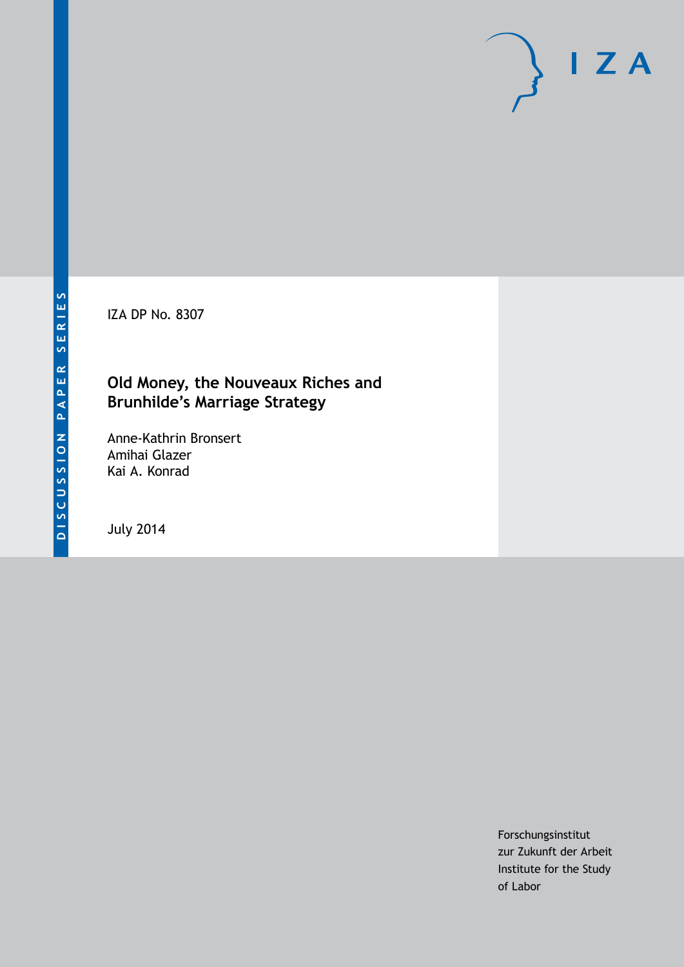IZA DP No. 8307

# **Old Money, the Nouveaux Riches and Brunhilde's Marriage Strategy**

Anne-Kathrin Bronsert Amihai Glazer Kai A. Konrad

July 2014

Forschungsinstitut zur Zukunft der Arbeit Institute for the Study of Labor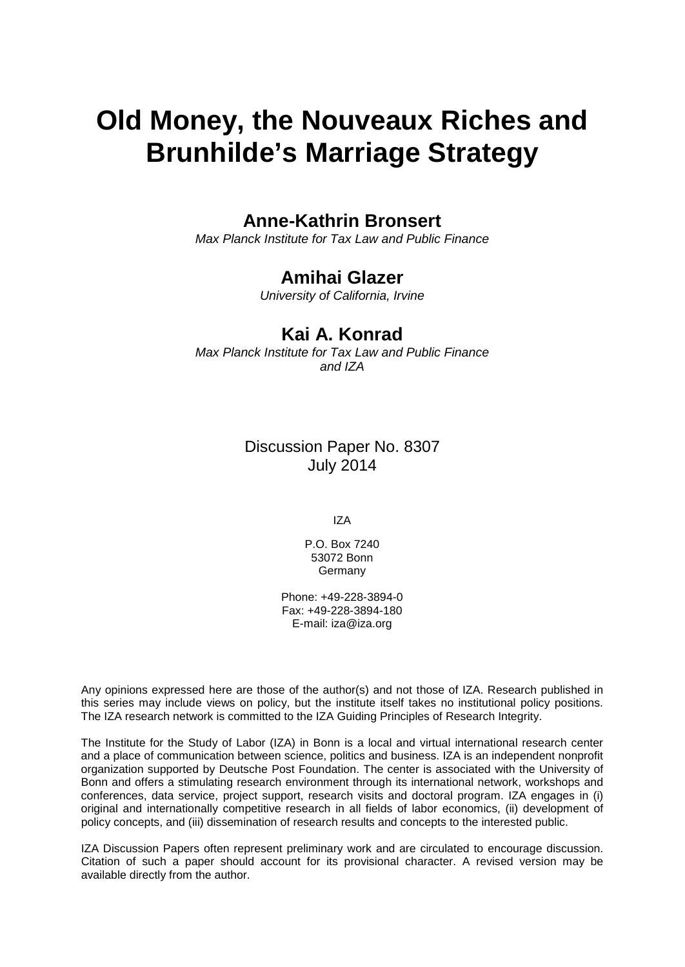# **Old Money, the Nouveaux Riches and Brunhilde's Marriage Strategy**

## **Anne-Kathrin Bronsert**

*Max Planck Institute for Tax Law and Public Finance*

#### **Amihai Glazer**

*University of California, Irvine*

#### **Kai A. Konrad**

*Max Planck Institute for Tax Law and Public Finance and IZA*

> Discussion Paper No. 8307 July 2014

> > IZA

P.O. Box 7240 53072 Bonn **Germany** 

Phone: +49-228-3894-0 Fax: +49-228-3894-180 E-mail: [iza@iza.org](mailto:iza@iza.org)

Any opinions expressed here are those of the author(s) and not those of IZA. Research published in this series may include views on policy, but the institute itself takes no institutional policy positions. The IZA research network is committed to the IZA Guiding Principles of Research Integrity.

The Institute for the Study of Labor (IZA) in Bonn is a local and virtual international research center and a place of communication between science, politics and business. IZA is an independent nonprofit organization supported by Deutsche Post Foundation. The center is associated with the University of Bonn and offers a stimulating research environment through its international network, workshops and conferences, data service, project support, research visits and doctoral program. IZA engages in (i) original and internationally competitive research in all fields of labor economics, (ii) development of policy concepts, and (iii) dissemination of research results and concepts to the interested public.

<span id="page-1-0"></span>IZA Discussion Papers often represent preliminary work and are circulated to encourage discussion. Citation of such a paper should account for its provisional character. A revised version may be available directly from the author.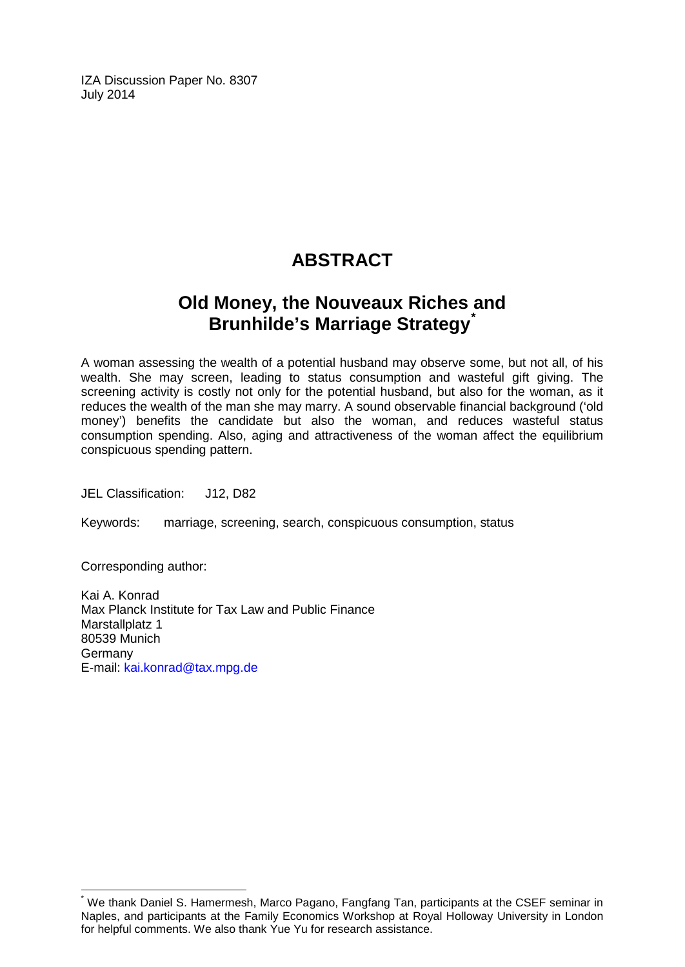IZA Discussion Paper No. 8307 July 2014

# **ABSTRACT**

# **Old Money, the Nouveaux Riches and Brunhilde's Marriage Strategy[\\*](#page-1-0)**

A woman assessing the wealth of a potential husband may observe some, but not all, of his wealth. She may screen, leading to status consumption and wasteful gift giving. The screening activity is costly not only for the potential husband, but also for the woman, as it reduces the wealth of the man she may marry. A sound observable financial background ('old money') benefits the candidate but also the woman, and reduces wasteful status consumption spending. Also, aging and attractiveness of the woman affect the equilibrium conspicuous spending pattern.

JEL Classification: J12, D82

Keywords: marriage, screening, search, conspicuous consumption, status

Corresponding author:

Kai A. Konrad Max Planck Institute for Tax Law and Public Finance Marstallplatz 1 80539 Munich **Germany** E-mail: [kai.konrad@tax.mpg.de](mailto:kai.konrad@tax.mpg.de)

\* We thank Daniel S. Hamermesh, Marco Pagano, Fangfang Tan, participants at the CSEF seminar in Naples, and participants at the Family Economics Workshop at Royal Holloway University in London for helpful comments. We also thank Yue Yu for research assistance.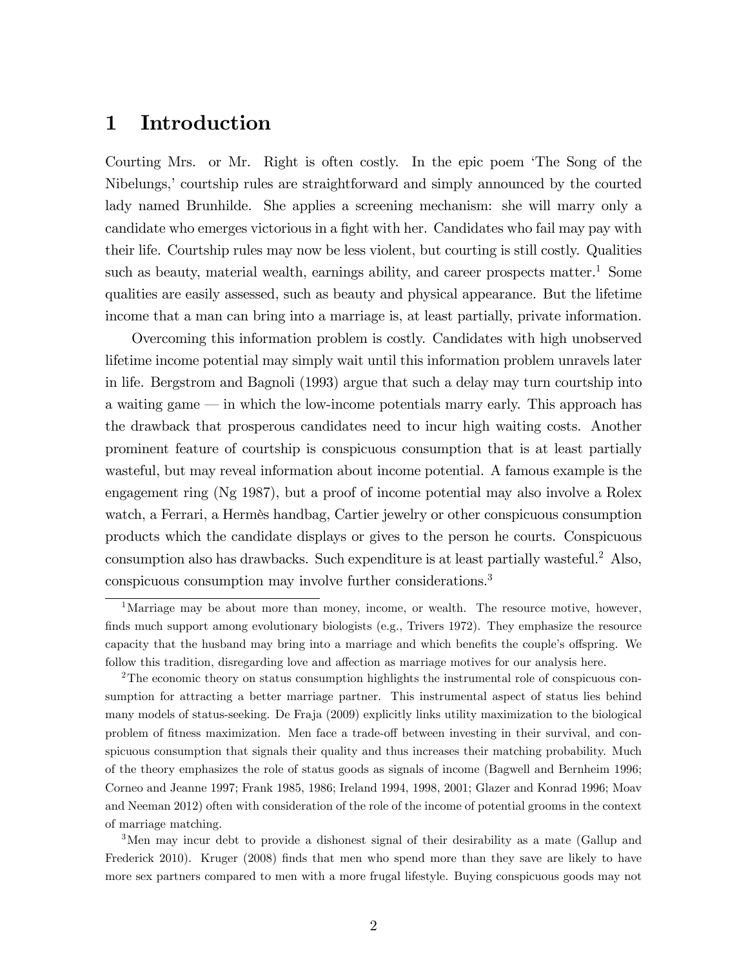# 1 Introduction

Courting Mrs. or Mr. Right is often costly. In the epic poem ëThe Song of the Nibelungs, courtship rules are straightforward and simply announced by the courted lady named Brunhilde. She applies a screening mechanism: she will marry only a candidate who emerges victorious in a fight with her. Candidates who fail may pay with their life. Courtship rules may now be less violent, but courting is still costly. Qualities such as beauty, material wealth, earnings ability, and career prospects matter.<sup>1</sup> Some qualities are easily assessed, such as beauty and physical appearance. But the lifetime income that a man can bring into a marriage is, at least partially, private information.

Overcoming this information problem is costly. Candidates with high unobserved lifetime income potential may simply wait until this information problem unravels later in life. Bergstrom and Bagnoli (1993) argue that such a delay may turn courtship into a waiting game  $\equiv$  in which the low-income potentials marry early. This approach has the drawback that prosperous candidates need to incur high waiting costs. Another prominent feature of courtship is conspicuous consumption that is at least partially wasteful, but may reveal information about income potential. A famous example is the engagement ring (Ng 1987), but a proof of income potential may also involve a Rolex watch, a Ferrari, a Hermès handbag, Cartier jewelry or other conspicuous consumption products which the candidate displays or gives to the person he courts. Conspicuous consumption also has drawbacks. Such expenditure is at least partially wasteful.<sup>2</sup> Also, conspicuous consumption may involve further considerations.<sup>3</sup>

<sup>3</sup>Men may incur debt to provide a dishonest signal of their desirability as a mate (Gallup and Frederick 2010). Kruger (2008) Önds that men who spend more than they save are likely to have more sex partners compared to men with a more frugal lifestyle. Buying conspicuous goods may not

<sup>&</sup>lt;sup>1</sup>Marriage may be about more than money, income, or wealth. The resource motive, however, finds much support among evolutionary biologists (e.g., Trivers 1972). They emphasize the resource capacity that the husband may bring into a marriage and which benefits the couple's offspring. We follow this tradition, disregarding love and affection as marriage motives for our analysis here.

<sup>&</sup>lt;sup>2</sup>The economic theory on status consumption highlights the instrumental role of conspicuous consumption for attracting a better marriage partner. This instrumental aspect of status lies behind many models of status-seeking. De Fraja (2009) explicitly links utility maximization to the biological problem of fitness maximization. Men face a trade-off between investing in their survival, and conspicuous consumption that signals their quality and thus increases their matching probability. Much of the theory emphasizes the role of status goods as signals of income (Bagwell and Bernheim 1996; Corneo and Jeanne 1997; Frank 1985, 1986; Ireland 1994, 1998, 2001; Glazer and Konrad 1996; Moav and Neeman 2012) often with consideration of the role of the income of potential grooms in the context of marriage matching.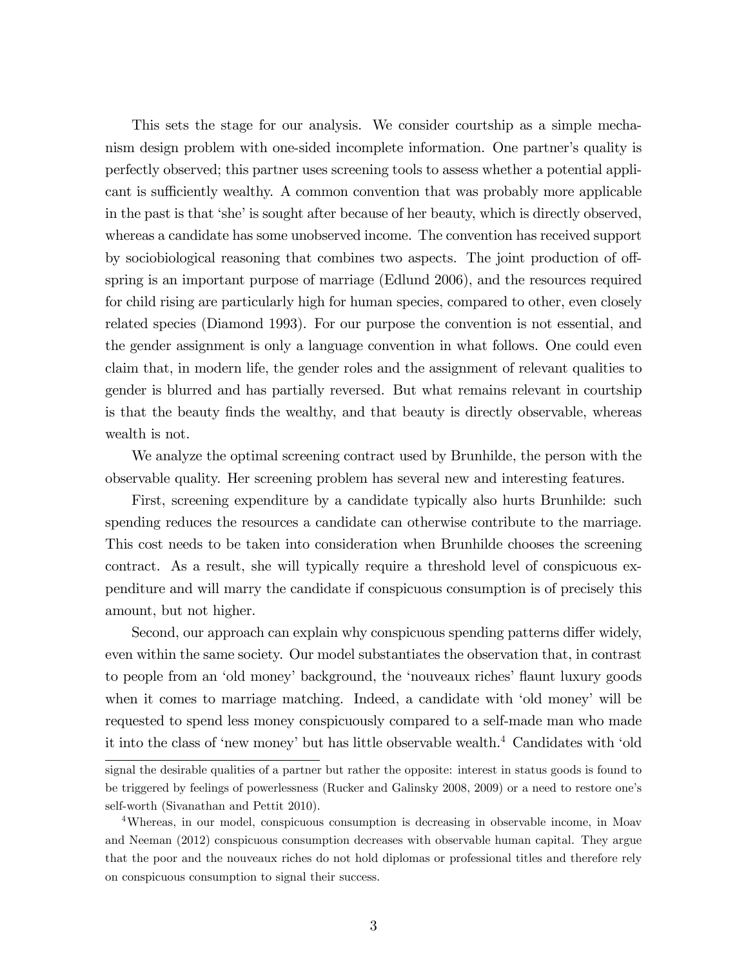This sets the stage for our analysis. We consider courtship as a simple mechanism design problem with one-sided incomplete information. One partner's quality is perfectly observed; this partner uses screening tools to assess whether a potential applicant is sufficiently wealthy. A common convention that was probably more applicable in the past is that 'she' is sought after because of her beauty, which is directly observed, whereas a candidate has some unobserved income. The convention has received support by sociobiological reasoning that combines two aspects. The joint production of offspring is an important purpose of marriage (Edlund 2006), and the resources required for child rising are particularly high for human species, compared to other, even closely related species (Diamond 1993). For our purpose the convention is not essential, and the gender assignment is only a language convention in what follows. One could even claim that, in modern life, the gender roles and the assignment of relevant qualities to gender is blurred and has partially reversed. But what remains relevant in courtship is that the beauty Önds the wealthy, and that beauty is directly observable, whereas wealth is not.

We analyze the optimal screening contract used by Brunhilde, the person with the observable quality. Her screening problem has several new and interesting features.

First, screening expenditure by a candidate typically also hurts Brunhilde: such spending reduces the resources a candidate can otherwise contribute to the marriage. This cost needs to be taken into consideration when Brunhilde chooses the screening contract. As a result, she will typically require a threshold level of conspicuous expenditure and will marry the candidate if conspicuous consumption is of precisely this amount, but not higher.

Second, our approach can explain why conspicuous spending patterns differ widely, even within the same society. Our model substantiates the observation that, in contrast to people from an 'old money' background, the 'nouveaux riches' flaunt luxury goods when it comes to marriage matching. Indeed, a candidate with 'old money' will be requested to spend less money conspicuously compared to a self-made man who made it into the class of 'new money' but has little observable wealth.<sup>4</sup> Candidates with 'old

signal the desirable qualities of a partner but rather the opposite: interest in status goods is found to be triggered by feelings of powerlessness (Rucker and Galinsky 2008, 2009) or a need to restore oneís self-worth (Sivanathan and Pettit 2010).

<sup>4</sup>Whereas, in our model, conspicuous consumption is decreasing in observable income, in Moav and Neeman (2012) conspicuous consumption decreases with observable human capital. They argue that the poor and the nouveaux riches do not hold diplomas or professional titles and therefore rely on conspicuous consumption to signal their success.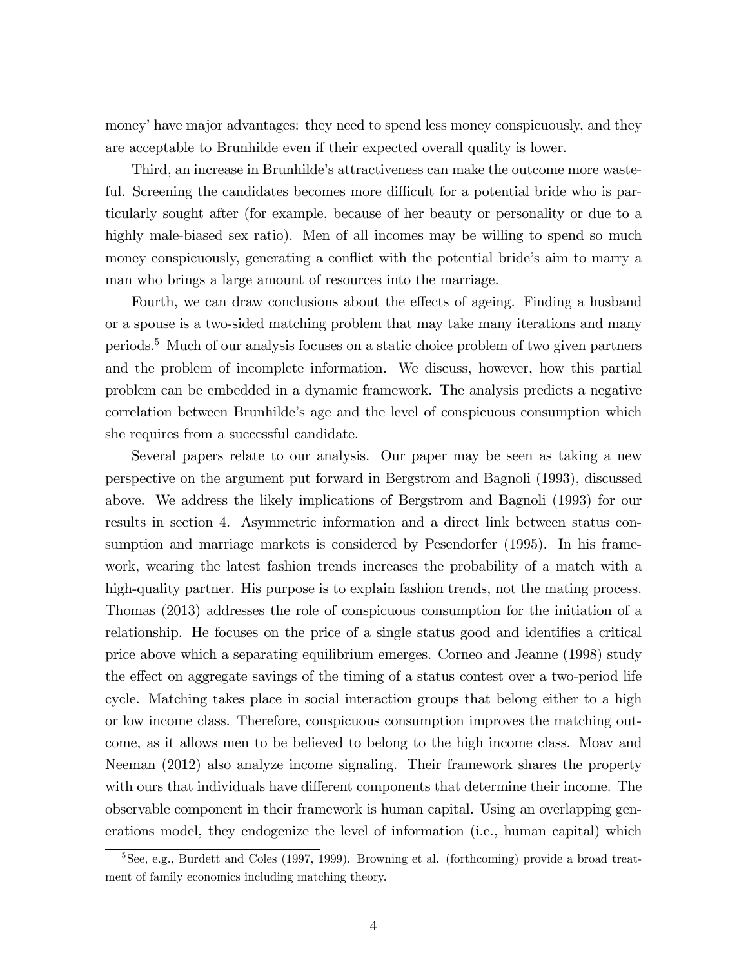money' have major advantages: they need to spend less money conspicuously, and they are acceptable to Brunhilde even if their expected overall quality is lower.

Third, an increase in Brunhilde's attractiveness can make the outcome more wasteful. Screening the candidates becomes more difficult for a potential bride who is particularly sought after (for example, because of her beauty or personality or due to a highly male-biased sex ratio). Men of all incomes may be willing to spend so much money conspicuously, generating a conflict with the potential bride's aim to marry a man who brings a large amount of resources into the marriage.

Fourth, we can draw conclusions about the effects of ageing. Finding a husband or a spouse is a two-sided matching problem that may take many iterations and many periods.<sup>5</sup> Much of our analysis focuses on a static choice problem of two given partners and the problem of incomplete information. We discuss, however, how this partial problem can be embedded in a dynamic framework. The analysis predicts a negative correlation between Brunhildeís age and the level of conspicuous consumption which she requires from a successful candidate.

Several papers relate to our analysis. Our paper may be seen as taking a new perspective on the argument put forward in Bergstrom and Bagnoli (1993), discussed above. We address the likely implications of Bergstrom and Bagnoli (1993) for our results in section 4. Asymmetric information and a direct link between status consumption and marriage markets is considered by Pesendorfer (1995). In his framework, wearing the latest fashion trends increases the probability of a match with a high-quality partner. His purpose is to explain fashion trends, not the mating process. Thomas (2013) addresses the role of conspicuous consumption for the initiation of a relationship. He focuses on the price of a single status good and identifies a critical price above which a separating equilibrium emerges. Corneo and Jeanne (1998) study the effect on aggregate savings of the timing of a status contest over a two-period life cycle. Matching takes place in social interaction groups that belong either to a high or low income class. Therefore, conspicuous consumption improves the matching outcome, as it allows men to be believed to belong to the high income class. Moav and Neeman (2012) also analyze income signaling. Their framework shares the property with ours that individuals have different components that determine their income. The observable component in their framework is human capital. Using an overlapping generations model, they endogenize the level of information (i.e., human capital) which

<sup>5</sup>See, e.g., Burdett and Coles (1997, 1999). Browning et al. (forthcoming) provide a broad treatment of family economics including matching theory.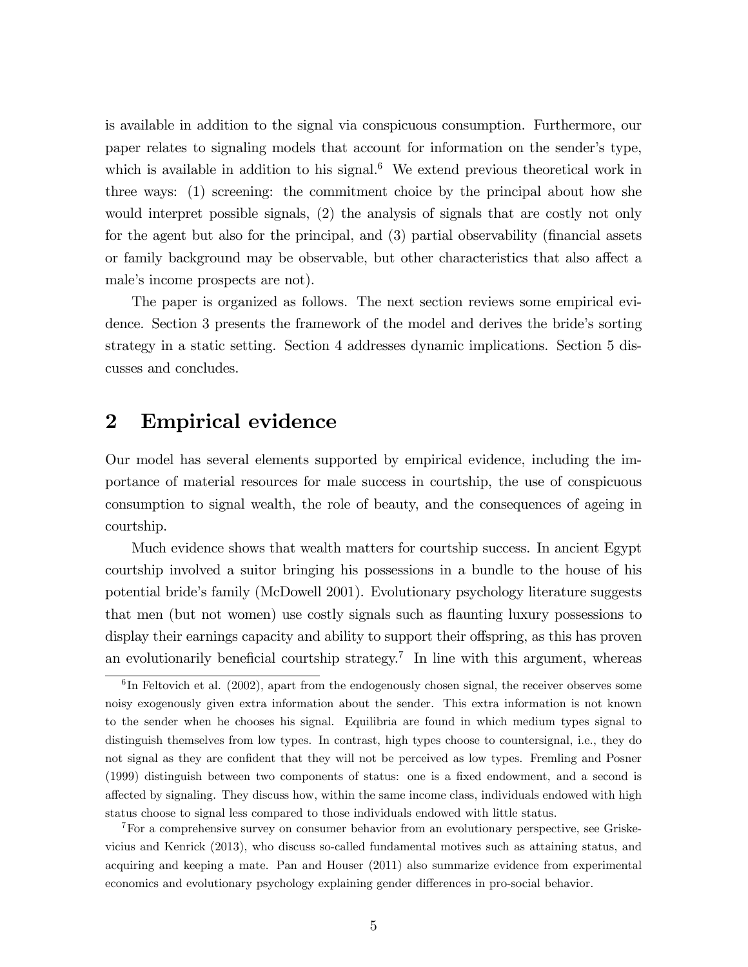is available in addition to the signal via conspicuous consumption. Furthermore, our paper relates to signaling models that account for information on the sender's type, which is available in addition to his signal.<sup>6</sup> We extend previous theoretical work in three ways: (1) screening: the commitment choice by the principal about how she would interpret possible signals, (2) the analysis of signals that are costly not only for the agent but also for the principal, and  $(3)$  partial observability (financial assets or family background may be observable, but other characteristics that also affect a male's income prospects are not).

The paper is organized as follows. The next section reviews some empirical evidence. Section 3 presents the framework of the model and derives the bride's sorting strategy in a static setting. Section 4 addresses dynamic implications. Section 5 discusses and concludes.

# 2 Empirical evidence

Our model has several elements supported by empirical evidence, including the importance of material resources for male success in courtship, the use of conspicuous consumption to signal wealth, the role of beauty, and the consequences of ageing in courtship.

Much evidence shows that wealth matters for courtship success. In ancient Egypt courtship involved a suitor bringing his possessions in a bundle to the house of his potential brideís family (McDowell 2001). Evolutionary psychology literature suggests that men (but not women) use costly signals such as flaunting luxury possessions to display their earnings capacity and ability to support their offspring, as this has proven an evolutionarily beneficial courtship strategy.<sup>7</sup> In line with this argument, whereas

<sup>7</sup>For a comprehensive survey on consumer behavior from an evolutionary perspective, see Griskevicius and Kenrick (2013), who discuss so-called fundamental motives such as attaining status, and acquiring and keeping a mate. Pan and Houser (2011) also summarize evidence from experimental economics and evolutionary psychology explaining gender differences in pro-social behavior.

 ${}^{6}$ In Feltovich et al. (2002), apart from the endogenously chosen signal, the receiver observes some noisy exogenously given extra information about the sender. This extra information is not known to the sender when he chooses his signal. Equilibria are found in which medium types signal to distinguish themselves from low types. In contrast, high types choose to countersignal, i.e., they do not signal as they are confident that they will not be perceived as low types. Fremling and Posner (1999) distinguish between two components of status: one is a Öxed endowment, and a second is affected by signaling. They discuss how, within the same income class, individuals endowed with high status choose to signal less compared to those individuals endowed with little status.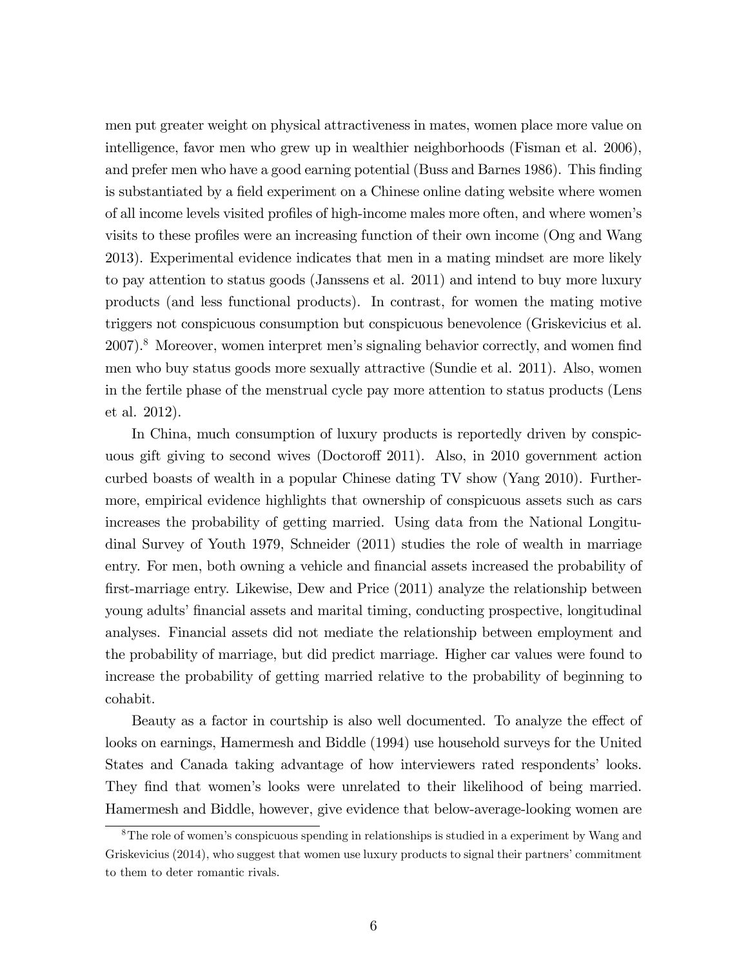men put greater weight on physical attractiveness in mates, women place more value on intelligence, favor men who grew up in wealthier neighborhoods (Fisman et al. 2006), and prefer men who have a good earning potential (Buss and Barnes 1986). This finding is substantiated by a field experiment on a Chinese online dating website where women of all income levels visited profiles of high-income males more often, and where women's visits to these profiles were an increasing function of their own income (Ong and Wang 2013). Experimental evidence indicates that men in a mating mindset are more likely to pay attention to status goods (Janssens et al. 2011) and intend to buy more luxury products (and less functional products). In contrast, for women the mating motive triggers not conspicuous consumption but conspicuous benevolence (Griskevicius et al. 2007).<sup>8</sup> Moreover, women interpret men's signaling behavior correctly, and women find men who buy status goods more sexually attractive (Sundie et al. 2011). Also, women in the fertile phase of the menstrual cycle pay more attention to status products (Lens et al. 2012).

In China, much consumption of luxury products is reportedly driven by conspicuous gift giving to second wives (Doctoroff 2011). Also, in 2010 government action curbed boasts of wealth in a popular Chinese dating TV show (Yang 2010). Furthermore, empirical evidence highlights that ownership of conspicuous assets such as cars increases the probability of getting married. Using data from the National Longitudinal Survey of Youth 1979, Schneider (2011) studies the role of wealth in marriage entry. For men, both owning a vehicle and financial assets increased the probability of Örst-marriage entry. Likewise, Dew and Price (2011) analyze the relationship between young adults' financial assets and marital timing, conducting prospective, longitudinal analyses. Financial assets did not mediate the relationship between employment and the probability of marriage, but did predict marriage. Higher car values were found to increase the probability of getting married relative to the probability of beginning to cohabit.

Beauty as a factor in courtship is also well documented. To analyze the effect of looks on earnings, Hamermesh and Biddle (1994) use household surveys for the United States and Canada taking advantage of how interviewers rated respondents' looks. They find that women's looks were unrelated to their likelihood of being married. Hamermesh and Biddle, however, give evidence that below-average-looking women are

<sup>&</sup>lt;sup>8</sup>The role of women's conspicuous spending in relationships is studied in a experiment by Wang and Griskevicius (2014), who suggest that women use luxury products to signal their partners' commitment to them to deter romantic rivals.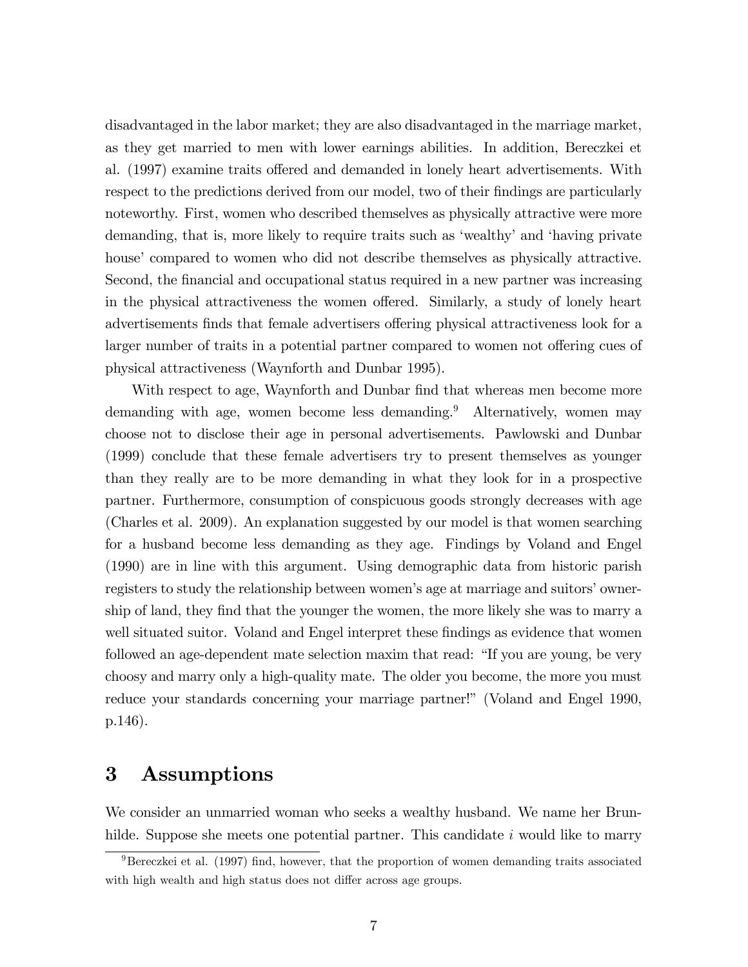disadvantaged in the labor market; they are also disadvantaged in the marriage market, as they get married to men with lower earnings abilities. In addition, Bereczkei et al. (1997) examine traits offered and demanded in lonely heart advertisements. With respect to the predictions derived from our model, two of their findings are particularly noteworthy. First, women who described themselves as physically attractive were more demanding, that is, more likely to require traits such as 'wealthy' and 'having private house' compared to women who did not describe themselves as physically attractive. Second, the financial and occupational status required in a new partner was increasing in the physical attractiveness the women offered. Similarly, a study of lonely heart advertisements finds that female advertisers offering physical attractiveness look for a larger number of traits in a potential partner compared to women not offering cues of physical attractiveness (Waynforth and Dunbar 1995).

With respect to age, Waynforth and Dunbar find that whereas men become more demanding with age, women become less demanding.<sup>9</sup> Alternatively, women may choose not to disclose their age in personal advertisements. Pawlowski and Dunbar (1999) conclude that these female advertisers try to present themselves as younger than they really are to be more demanding in what they look for in a prospective partner. Furthermore, consumption of conspicuous goods strongly decreases with age (Charles et al. 2009). An explanation suggested by our model is that women searching for a husband become less demanding as they age. Findings by Voland and Engel (1990) are in line with this argument. Using demographic data from historic parish registers to study the relationship between women's age at marriage and suitors' ownership of land, they find that the younger the women, the more likely she was to marry a well situated suitor. Voland and Engel interpret these findings as evidence that women followed an age-dependent mate selection maxim that read: "If you are young, be very choosy and marry only a high-quality mate. The older you become, the more you must reduce your standards concerning your marriage partner!" (Voland and Engel 1990, p.146).

## 3 Assumptions

We consider an unmarried woman who seeks a wealthy husband. We name her Brunhilde. Suppose she meets one potential partner. This candidate  $i$  would like to marry

 $9$ Bereczkei et al. (1997) find, however, that the proportion of women demanding traits associated with high wealth and high status does not differ across age groups.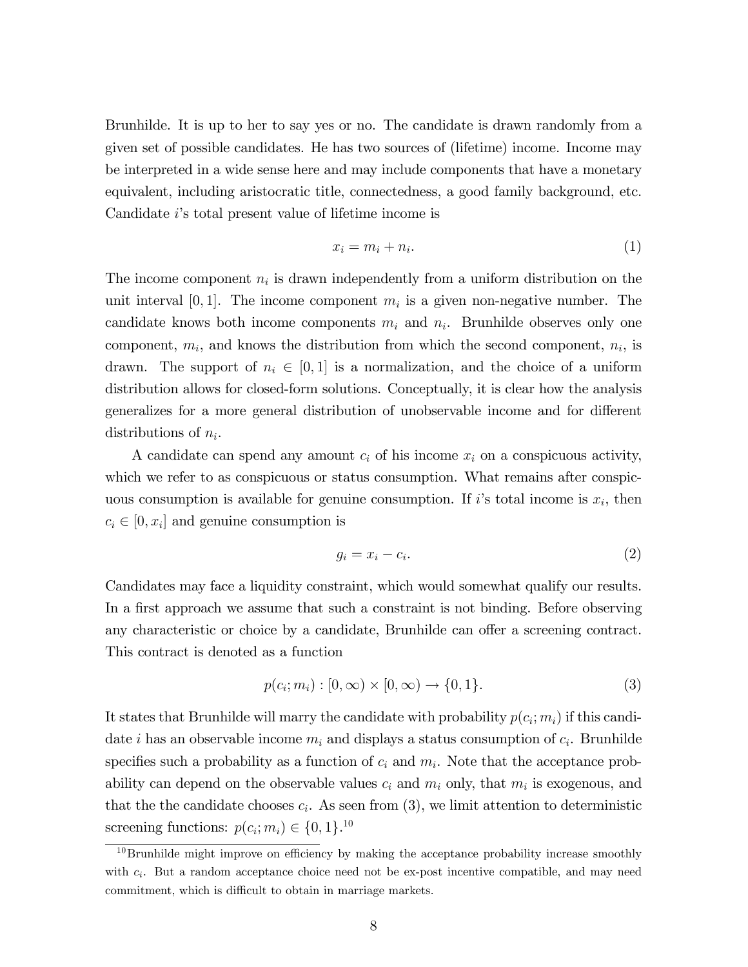Brunhilde. It is up to her to say yes or no. The candidate is drawn randomly from a given set of possible candidates. He has two sources of (lifetime) income. Income may be interpreted in a wide sense here and may include components that have a monetary equivalent, including aristocratic title, connectedness, a good family background, etc. Candidate iís total present value of lifetime income is

$$
x_i = m_i + n_i. \tag{1}
$$

The income component  $n_i$  is drawn independently from a uniform distribution on the unit interval [0, 1]. The income component  $m_i$  is a given non-negative number. The candidate knows both income components  $m_i$  and  $n_i$ . Brunhilde observes only one component,  $m_i$ , and knows the distribution from which the second component,  $n_i$ , is drawn. The support of  $n_i \in [0, 1]$  is a normalization, and the choice of a uniform distribution allows for closed-form solutions. Conceptually, it is clear how the analysis generalizes for a more general distribution of unobservable income and for different distributions of  $n_i$ .

A candidate can spend any amount  $c_i$  of his income  $x_i$  on a conspicuous activity, which we refer to as conspicuous or status consumption. What remains after conspicuous consumption is available for genuine consumption. If i's total income is  $x_i$ , then  $c_i \in [0, x_i]$  and genuine consumption is

$$
g_i = x_i - c_i. \tag{2}
$$

Candidates may face a liquidity constraint, which would somewhat qualify our results. In a first approach we assume that such a constraint is not binding. Before observing any characteristic or choice by a candidate, Brunhilde can offer a screening contract. This contract is denoted as a function

$$
p(c_i; m_i) : [0, \infty) \times [0, \infty) \to \{0, 1\}.
$$
 (3)

It states that Brunhilde will marry the candidate with probability  $p(c_i; m_i)$  if this candidate *i* has an observable income  $m_i$  and displays a status consumption of  $c_i$ . Brunhilde specifies such a probability as a function of  $c_i$  and  $m_i$ . Note that the acceptance probability can depend on the observable values  $c_i$  and  $m_i$  only, that  $m_i$  is exogenous, and that the the candidate chooses  $c_i$ . As seen from (3), we limit attention to deterministic screening functions:  $p(c_i; m_i) \in \{0, 1\}$ <sup>10</sup>

 $10B$  Brunhilde might improve on efficiency by making the acceptance probability increase smoothly with  $c_i$ . But a random acceptance choice need not be ex-post incentive compatible, and may need commitment, which is difficult to obtain in marriage markets.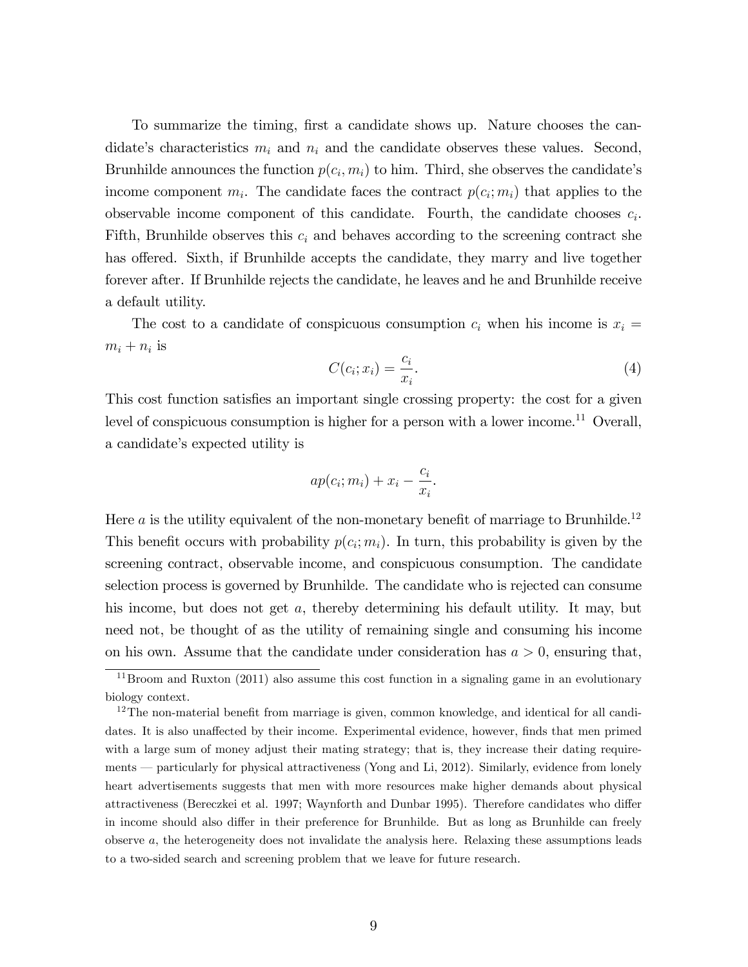To summarize the timing, first a candidate shows up. Nature chooses the candidate's characteristics  $m_i$  and  $n_i$  and the candidate observes these values. Second, Brunhilde announces the function  $p(c_i, m_i)$  to him. Third, she observes the candidate's income component  $m_i$ . The candidate faces the contract  $p(c_i; m_i)$  that applies to the observable income component of this candidate. Fourth, the candidate chooses  $c_i$ . Fifth, Brunhilde observes this  $c_i$  and behaves according to the screening contract she has offered. Sixth, if Brunhilde accepts the candidate, they marry and live together forever after. If Brunhilde rejects the candidate, he leaves and he and Brunhilde receive a default utility.

The cost to a candidate of conspicuous consumption  $c_i$  when his income is  $x_i =$  $m_i + n_i$  is

$$
C(c_i; x_i) = \frac{c_i}{x_i}.\tag{4}
$$

This cost function satisfies an important single crossing property: the cost for a given level of conspicuous consumption is higher for a person with a lower income.<sup>11</sup> Overall, a candidate's expected utility is

$$
ap(c_i; m_i) + x_i - \frac{c_i}{x_i}.
$$

Here  $a$  is the utility equivalent of the non-monetary benefit of marriage to Brunhilde.<sup>12</sup> This benefit occurs with probability  $p(c_i; m_i)$ . In turn, this probability is given by the screening contract, observable income, and conspicuous consumption. The candidate selection process is governed by Brunhilde. The candidate who is rejected can consume his income, but does not get a, thereby determining his default utility. It may, but need not, be thought of as the utility of remaining single and consuming his income on his own. Assume that the candidate under consideration has  $a > 0$ , ensuring that,

 $11\,\text{Brown}$  and Ruxton (2011) also assume this cost function in a signaling game in an evolutionary biology context.

 $12$ The non-material benefit from marriage is given, common knowledge, and identical for all candidates. It is also unaffected by their income. Experimental evidence, however, finds that men primed with a large sum of money adjust their mating strategy; that is, they increase their dating requirements – particularly for physical attractiveness (Yong and Li, 2012). Similarly, evidence from lonely heart advertisements suggests that men with more resources make higher demands about physical attractiveness (Bereczkei et al. 1997; Waynforth and Dunbar 1995). Therefore candidates who differ in income should also differ in their preference for Brunhilde. But as long as Brunhilde can freely observe a, the heterogeneity does not invalidate the analysis here. Relaxing these assumptions leads to a two-sided search and screening problem that we leave for future research.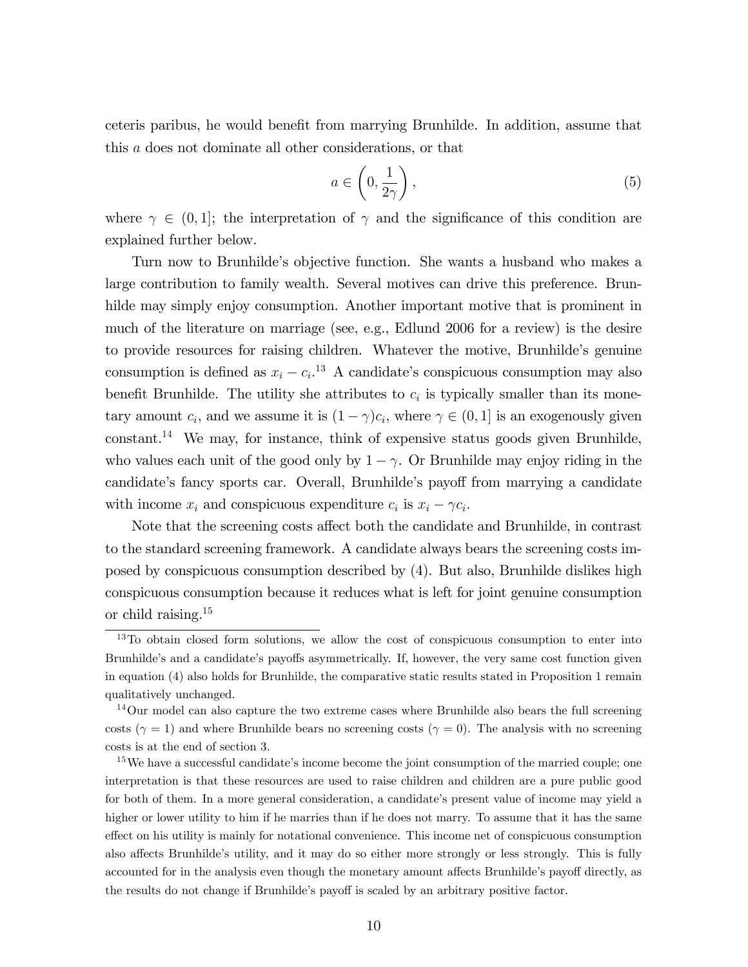ceteris paribus, he would benefit from marrying Brunhilde. In addition, assume that this a does not dominate all other considerations, or that

$$
a \in \left(0, \frac{1}{2\gamma}\right),\tag{5}
$$

where  $\gamma \in (0,1]$ ; the interpretation of  $\gamma$  and the significance of this condition are explained further below.

Turn now to Brunhildeís objective function. She wants a husband who makes a large contribution to family wealth. Several motives can drive this preference. Brunhilde may simply enjoy consumption. Another important motive that is prominent in much of the literature on marriage (see, e.g., Edlund 2006 for a review) is the desire to provide resources for raising children. Whatever the motive, Brunhildeís genuine consumption is defined as  $x_i - c_i$ <sup>13</sup> A candidate's conspicuous consumption may also benefit Brunhilde. The utility she attributes to  $c_i$  is typically smaller than its monetary amount  $c_i$ , and we assume it is  $(1 - \gamma)c_i$ , where  $\gamma \in (0, 1]$  is an exogenously given constant.<sup>14</sup> We may, for instance, think of expensive status goods given Brunhilde, who values each unit of the good only by  $1 - \gamma$ . Or Brunhilde may enjoy riding in the candidate's fancy sports car. Overall, Brunhilde's payoff from marrying a candidate with income  $x_i$  and conspicuous expenditure  $c_i$  is  $x_i - \gamma c_i$ .

Note that the screening costs affect both the candidate and Brunhilde, in contrast to the standard screening framework. A candidate always bears the screening costs imposed by conspicuous consumption described by (4). But also, Brunhilde dislikes high conspicuous consumption because it reduces what is left for joint genuine consumption or child raising.<sup>15</sup>

<sup>&</sup>lt;sup>13</sup>To obtain closed form solutions, we allow the cost of conspicuous consumption to enter into Brunhilde's and a candidate's payoffs asymmetrically. If, however, the very same cost function given in equation (4) also holds for Brunhilde, the comparative static results stated in Proposition 1 remain qualitatively unchanged.

<sup>&</sup>lt;sup>14</sup>Our model can also capture the two extreme cases where Brunhilde also bears the full screening costs ( $\gamma = 1$ ) and where Brunhilde bears no screening costs ( $\gamma = 0$ ). The analysis with no screening costs is at the end of section 3.

 $15$ We have a successful candidate's income become the joint consumption of the married couple; one interpretation is that these resources are used to raise children and children are a pure public good for both of them. In a more general consideration, a candidate's present value of income may yield a higher or lower utility to him if he marries than if he does not marry. To assume that it has the same effect on his utility is mainly for notational convenience. This income net of conspicuous consumption also affects Brunhilde's utility, and it may do so either more strongly or less strongly. This is fully accounted for in the analysis even though the monetary amount affects Brunhilde's payoff directly, as the results do not change if Brunhilde's payoff is scaled by an arbitrary positive factor.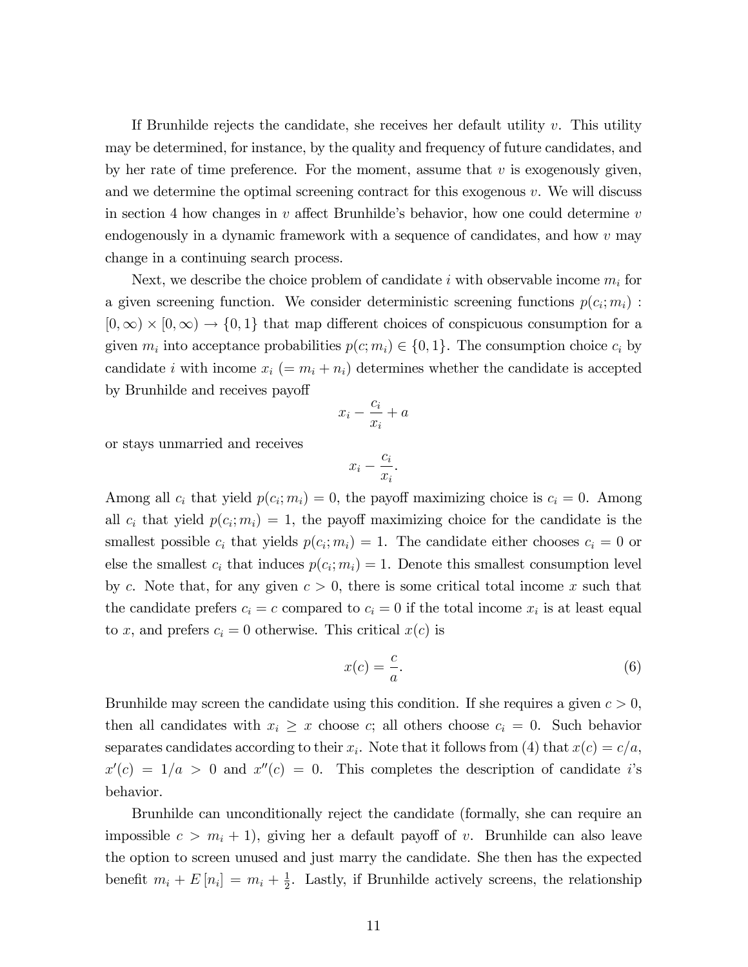If Brunhilde rejects the candidate, she receives her default utility  $v$ . This utility may be determined, for instance, by the quality and frequency of future candidates, and by her rate of time preference. For the moment, assume that  $v$  is exogenously given, and we determine the optimal screening contract for this exogenous  $v$ . We will discuss in section 4 how changes in v affect Brunhilde's behavior, how one could determine v endogenously in a dynamic framework with a sequence of candidates, and how  $v$  may change in a continuing search process.

Next, we describe the choice problem of candidate i with observable income  $m_i$  for a given screening function. We consider deterministic screening functions  $p(c_i; m_i)$ :  $[0,\infty) \times [0,\infty) \to \{0,1\}$  that map different choices of conspicuous consumption for a given  $m_i$  into acceptance probabilities  $p(c; m_i) \in \{0, 1\}$ . The consumption choice  $c_i$  by candidate i with income  $x_i$  (=  $m_i + n_i$ ) determines whether the candidate is accepted by Brunhilde and receives payoff

$$
x_i - \frac{c_i}{x_i} + a
$$

or stays unmarried and receives

$$
x_i - \frac{c_i}{x_i}.
$$

Among all  $c_i$  that yield  $p(c_i; m_i) = 0$ , the payoff maximizing choice is  $c_i = 0$ . Among all  $c_i$  that yield  $p(c_i; m_i) = 1$ , the payoff maximizing choice for the candidate is the smallest possible  $c_i$  that yields  $p(c_i; m_i) = 1$ . The candidate either chooses  $c_i = 0$  or else the smallest  $c_i$  that induces  $p(c_i; m_i) = 1$ . Denote this smallest consumption level by c. Note that, for any given  $c > 0$ , there is some critical total income x such that the candidate prefers  $c_i = c$  compared to  $c_i = 0$  if the total income  $x_i$  is at least equal to x, and prefers  $c_i = 0$  otherwise. This critical  $x(c)$  is

$$
x(c) = \frac{c}{a}.\tag{6}
$$

Brunhilde may screen the candidate using this condition. If she requires a given  $c > 0$ , then all candidates with  $x_i \geq x$  choose c; all others choose  $c_i = 0$ . Such behavior separates candidates according to their  $x_i$ . Note that it follows from (4) that  $x(c) = c/a$ ,  $x'(c) = 1/a > 0$  and  $x''(c) = 0$ . This completes the description of candidate i's behavior.

Brunhilde can unconditionally reject the candidate (formally, she can require an impossible  $c > m_i + 1$ , giving her a default payoff of v. Brunhilde can also leave the option to screen unused and just marry the candidate. She then has the expected benefit  $m_i + E[n_i] = m_i + \frac{1}{2}$  $\frac{1}{2}$ . Lastly, if Brunhilde actively screens, the relationship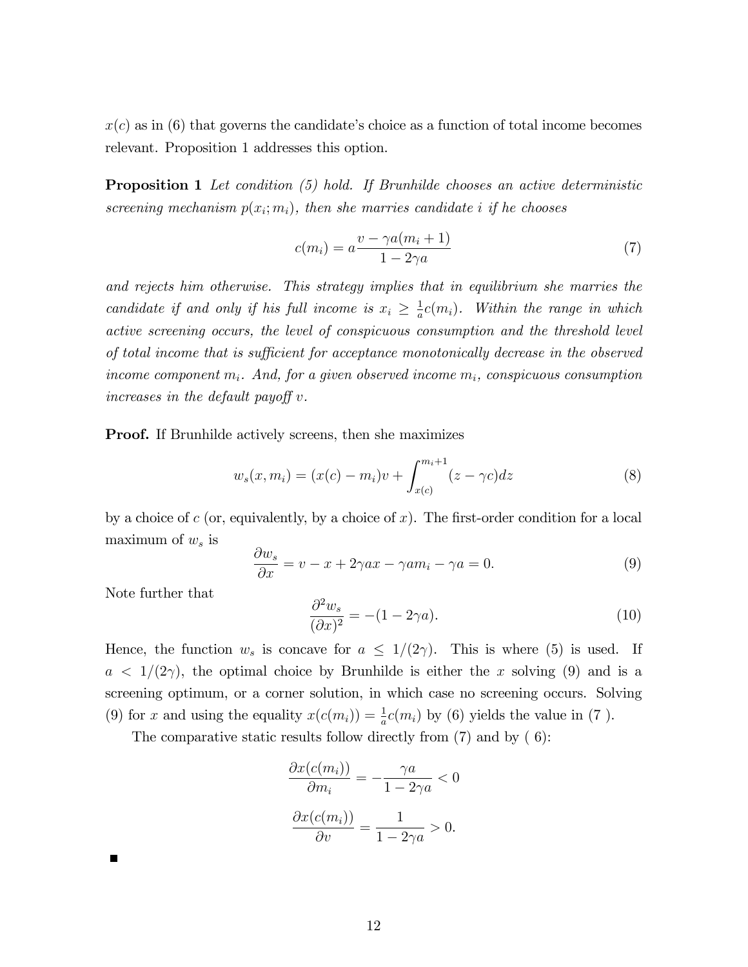$x(c)$  as in (6) that governs the candidate's choice as a function of total income becomes relevant. Proposition 1 addresses this option.

**Proposition 1** Let condition (5) hold. If Brunhilde chooses an active deterministic screening mechanism  $p(x_i; m_i)$ , then she marries candidate i if he chooses

$$
c(m_i) = a \frac{v - \gamma a(m_i + 1)}{1 - 2\gamma a} \tag{7}
$$

and rejects him otherwise. This strategy implies that in equilibrium she marries the candidate if and only if his full income is  $x_i \geq \frac{1}{a}$  $\frac{1}{a}c(m_i)$ . Within the range in which active screening occurs, the level of conspicuous consumption and the threshold level of total income that is sufficient for acceptance monotonically decrease in the observed income component  $m_i$ . And, for a given observed income  $m_i$ , conspicuous consumption increases in the default payoff  $v$ .

Proof. If Brunhilde actively screens, then she maximizes

$$
w_s(x, m_i) = (x(c) - m_i)v + \int_{x(c)}^{m_i+1} (z - \gamma c) dz
$$
 (8)

by a choice of c (or, equivalently, by a choice of x). The first-order condition for a local maximum of  $w_s$  is

$$
\frac{\partial w_s}{\partial x} = v - x + 2\gamma ax - \gamma am_i - \gamma a = 0.
$$
\n(9)

Note further that

$$
\frac{\partial^2 w_s}{(\partial x)^2} = -(1 - 2\gamma a). \tag{10}
$$

Hence, the function  $w_s$  is concave for  $a \leq 1/(2\gamma)$ . This is where (5) is used. If  $a < 1/(2\gamma)$ , the optimal choice by Brunhilde is either the x solving (9) and is a screening optimum, or a corner solution, in which case no screening occurs. Solving (9) for x and using the equality  $x(c(m_i)) = \frac{1}{a}c(m_i)$  by (6) yields the value in (7).

The comparative static results follow directly from  $(7)$  and by  $(6)$ :

$$
\frac{\partial x(c(m_i))}{\partial m_i} = -\frac{\gamma a}{1 - 2\gamma a} < 0
$$
\n
$$
\frac{\partial x(c(m_i))}{\partial v} = \frac{1}{1 - 2\gamma a} > 0.
$$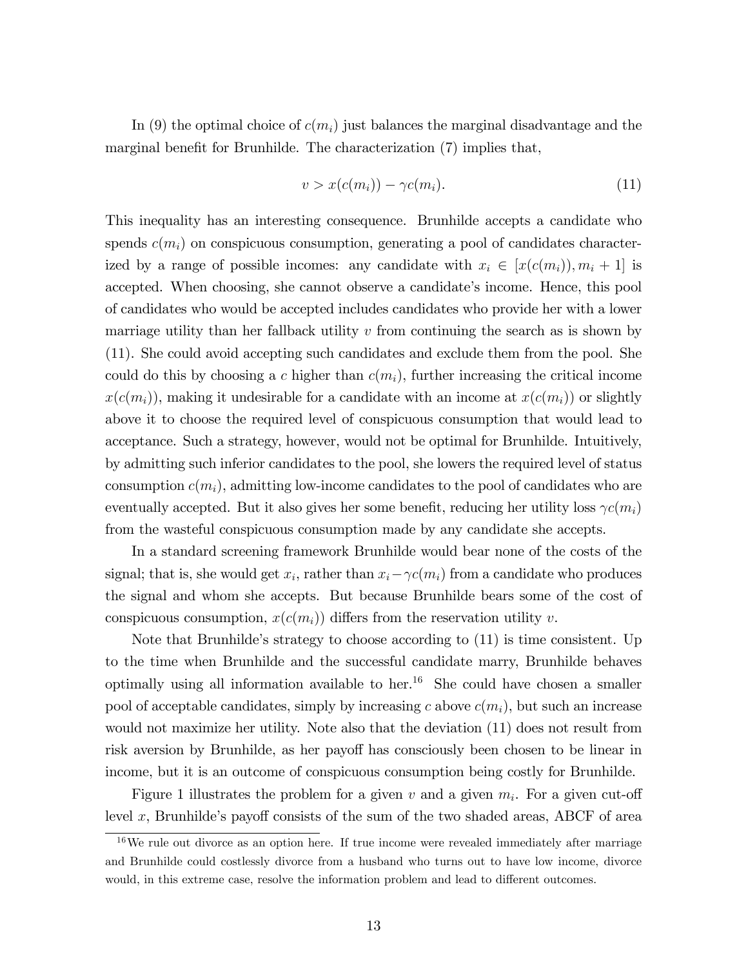In (9) the optimal choice of  $c(m_i)$  just balances the marginal disadvantage and the marginal benefit for Brunhilde. The characterization (7) implies that,

$$
v > x(c(m_i)) - \gamma c(m_i). \tag{11}
$$

This inequality has an interesting consequence. Brunhilde accepts a candidate who spends  $c(m_i)$  on conspicuous consumption, generating a pool of candidates characterized by a range of possible incomes: any candidate with  $x_i \in [x(c(m_i)), m_i + 1]$  is accepted. When choosing, she cannot observe a candidate's income. Hence, this pool of candidates who would be accepted includes candidates who provide her with a lower marriage utility than her fallback utility  $v$  from continuing the search as is shown by (11). She could avoid accepting such candidates and exclude them from the pool. She could do this by choosing a c higher than  $c(m_i)$ , further increasing the critical income  $x(c(m_i))$ , making it undesirable for a candidate with an income at  $x(c(m_i))$  or slightly above it to choose the required level of conspicuous consumption that would lead to acceptance. Such a strategy, however, would not be optimal for Brunhilde. Intuitively, by admitting such inferior candidates to the pool, she lowers the required level of status consumption  $c(m_i)$ , admitting low-income candidates to the pool of candidates who are eventually accepted. But it also gives her some benefit, reducing her utility loss  $\gamma c(m_i)$ from the wasteful conspicuous consumption made by any candidate she accepts.

In a standard screening framework Brunhilde would bear none of the costs of the signal; that is, she would get  $x_i$ , rather than  $x_i - \gamma c(m_i)$  from a candidate who produces the signal and whom she accepts. But because Brunhilde bears some of the cost of conspicuous consumption,  $x(c(m_i))$  differs from the reservation utility v.

Note that Brunhilde's strategy to choose according to  $(11)$  is time consistent. Up to the time when Brunhilde and the successful candidate marry, Brunhilde behaves optimally using all information available to her.<sup>16</sup> She could have chosen a smaller pool of acceptable candidates, simply by increasing c above  $c(m_i)$ , but such an increase would not maximize her utility. Note also that the deviation (11) does not result from risk aversion by Brunhilde, as her payoff has consciously been chosen to be linear in income, but it is an outcome of conspicuous consumption being costly for Brunhilde.

Figure 1 illustrates the problem for a given  $v$  and a given  $m_i$ . For a given cut-off level x, Brunhilde's payoff consists of the sum of the two shaded areas, ABCF of area

<sup>&</sup>lt;sup>16</sup>We rule out divorce as an option here. If true income were revealed immediately after marriage and Brunhilde could costlessly divorce from a husband who turns out to have low income, divorce would, in this extreme case, resolve the information problem and lead to different outcomes.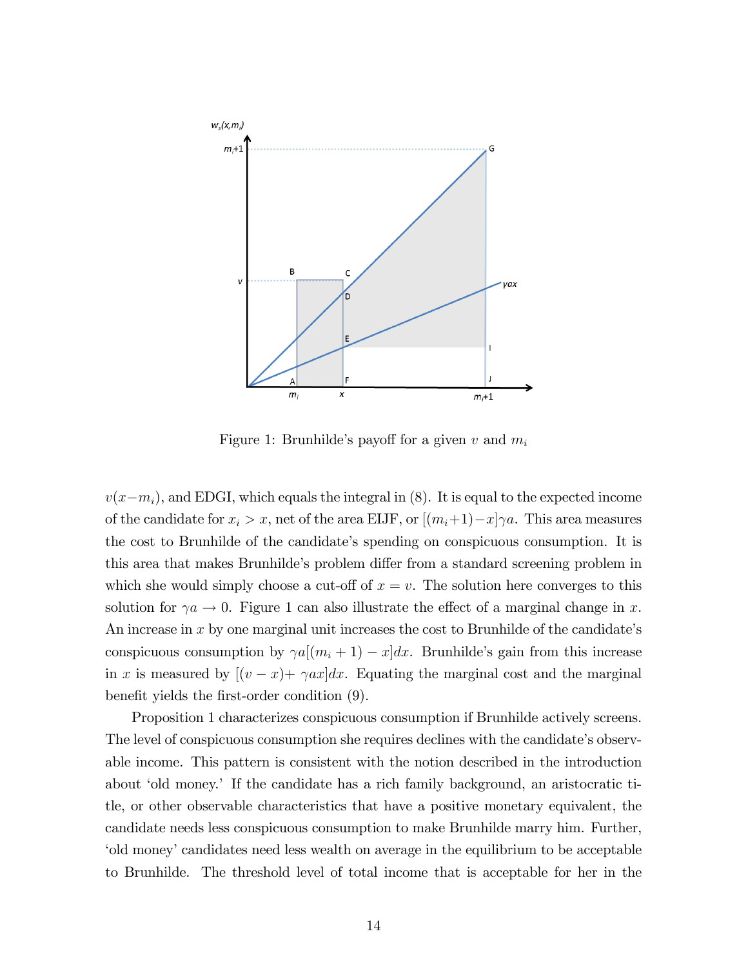

Figure 1: Brunhilde's payoff for a given v and  $m_i$ 

 $v(x-m_i)$ , and EDGI, which equals the integral in (8). It is equal to the expected income of the candidate for  $x_i > x$ , net of the area EIJF, or  $[(m_i+1)-x]\gamma a$ . This area measures the cost to Brunhilde of the candidate's spending on conspicuous consumption. It is this area that makes Brunhilde's problem differ from a standard screening problem in which she would simply choose a cut-off of  $x = v$ . The solution here converges to this solution for  $\gamma a \to 0$ . Figure 1 can also illustrate the effect of a marginal change in x. An increase in  $x$  by one marginal unit increases the cost to Brunhilde of the candidate's conspicuous consumption by  $\gamma a[(m_i + 1) - x]dx$ . Brunhilde's gain from this increase in x is measured by  $[(v-x)+\gamma ax]dx$ . Equating the marginal cost and the marginal benefit yields the first-order condition  $(9)$ .

Proposition 1 characterizes conspicuous consumption if Brunhilde actively screens. The level of conspicuous consumption she requires declines with the candidate's observable income. This pattern is consistent with the notion described in the introduction about 'old money.' If the candidate has a rich family background, an aristocratic title, or other observable characteristics that have a positive monetary equivalent, the candidate needs less conspicuous consumption to make Brunhilde marry him. Further, ëold moneyícandidates need less wealth on average in the equilibrium to be acceptable to Brunhilde. The threshold level of total income that is acceptable for her in the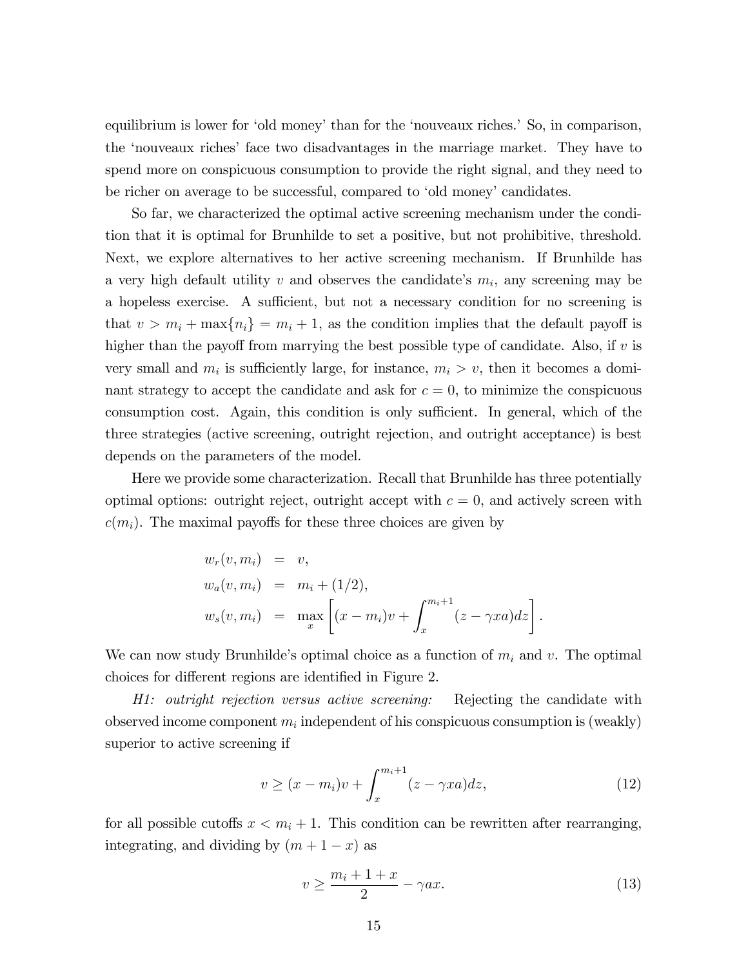equilibrium is lower for 'old money' than for the 'nouveaux riches.' So, in comparison, the ënouveaux richesí face two disadvantages in the marriage market. They have to spend more on conspicuous consumption to provide the right signal, and they need to be richer on average to be successful, compared to 'old money' candidates.

So far, we characterized the optimal active screening mechanism under the condition that it is optimal for Brunhilde to set a positive, but not prohibitive, threshold. Next, we explore alternatives to her active screening mechanism. If Brunhilde has a very high default utility  $v$  and observes the candidate's  $m_i$ , any screening may be a hopeless exercise. A sufficient, but not a necessary condition for no screening is that  $v > m_i + \max\{n_i\} = m_i + 1$ , as the condition implies that the default payoff is higher than the payoff from marrying the best possible type of candidate. Also, if  $v$  is very small and  $m_i$  is sufficiently large, for instance,  $m_i > v$ , then it becomes a dominant strategy to accept the candidate and ask for  $c = 0$ , to minimize the conspicuous consumption cost. Again, this condition is only sufficient. In general, which of the three strategies (active screening, outright rejection, and outright acceptance) is best depends on the parameters of the model.

Here we provide some characterization. Recall that Brunhilde has three potentially optimal options: outright reject, outright accept with  $c = 0$ , and actively screen with  $c(m_i)$ . The maximal payoffs for these three choices are given by

$$
w_r(v, m_i) = v,
$$
  
\n
$$
w_a(v, m_i) = m_i + (1/2),
$$
  
\n
$$
w_s(v, m_i) = \max_x \left[ (x - m_i)v + \int_x^{m_i + 1} (z - \gamma xa) dz \right].
$$

We can now study Brunhilde's optimal choice as a function of  $m_i$  and v. The optimal choices for different regions are identified in Figure 2.

H1: outright rejection versus active screening: Rejecting the candidate with observed income component  $m_i$  independent of his conspicuous consumption is (weakly) superior to active screening if

$$
v \ge (x - m_i)v + \int_x^{m_i + 1} (z - \gamma xa) dz,
$$
\n(12)

for all possible cutoffs  $x < m<sub>i</sub> + 1$ . This condition can be rewritten after rearranging, integrating, and dividing by  $(m + 1 - x)$  as

$$
v \ge \frac{m_i + 1 + x}{2} - \gamma ax. \tag{13}
$$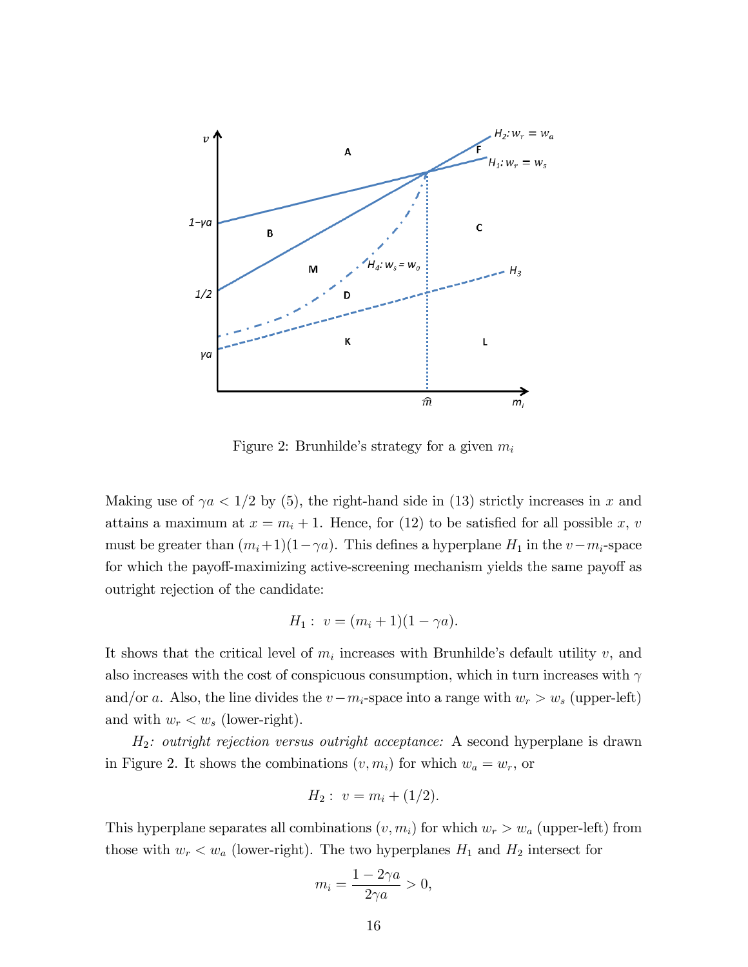

Figure 2: Brunhilde's strategy for a given  $m_i$ 

Making use of  $\gamma a < 1/2$  by (5), the right-hand side in (13) strictly increases in x and attains a maximum at  $x = m_i + 1$ . Hence, for (12) to be satisfied for all possible x, v must be greater than  $(m_i+1)(1-\gamma a)$ . This defines a hyperplane  $H_1$  in the  $v-m_i$ -space for which the payoff-maximizing active-screening mechanism yields the same payoff as outright rejection of the candidate:

$$
H_1: v = (m_i + 1)(1 - \gamma a).
$$

It shows that the critical level of  $m_i$  increases with Brunhilde's default utility  $v$ , and also increases with the cost of conspicuous consumption, which in turn increases with  $\gamma$ and/or a. Also, the line divides the  $v-m_i$ -space into a range with  $w_r > w_s$  (upper-left) and with  $w_r < w_s$  (lower-right).

 $H_2$ : outright rejection versus outright acceptance: A second hyperplane is drawn in Figure 2. It shows the combinations  $(v, m_i)$  for which  $w_a = w_r$ , or

$$
H_2: v = m_i + (1/2).
$$

This hyperplane separates all combinations  $(v, m_i)$  for which  $w_r > w_a$  (upper-left) from those with  $w_r < w_a$  (lower-right). The two hyperplanes  $H_1$  and  $H_2$  intersect for

$$
m_i = \frac{1 - 2\gamma a}{2\gamma a} > 0,
$$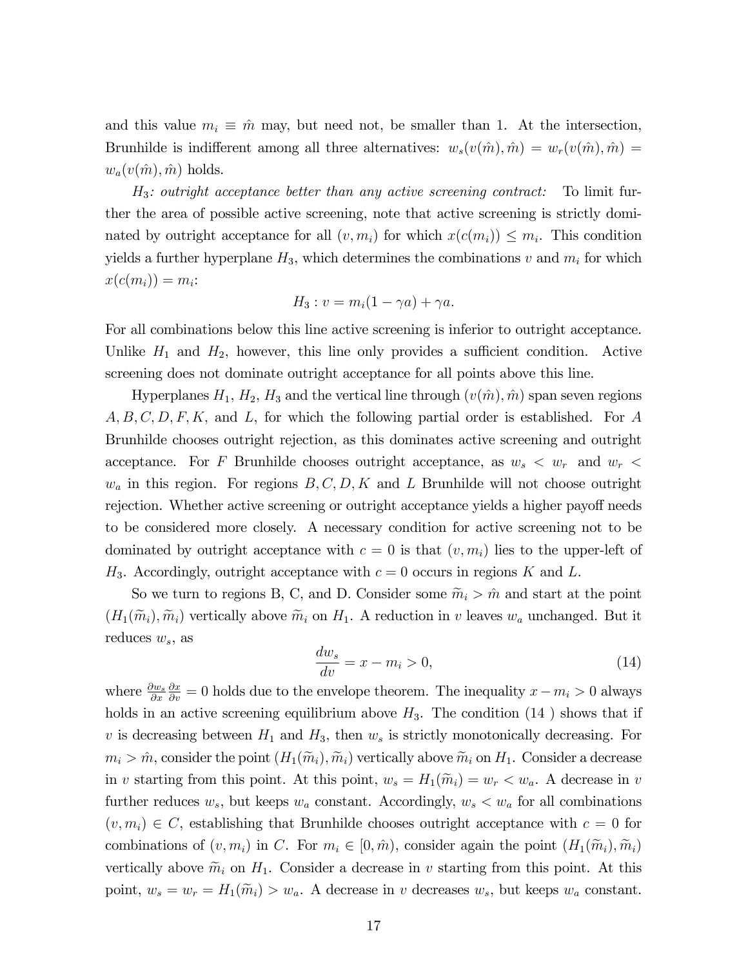and this value  $m_i \equiv \hat{m}$  may, but need not, be smaller than 1. At the intersection, Brunhilde is indifferent among all three alternatives:  $w_s(v(\hat{m}), \hat{m}) = w_r(v(\hat{m}), \hat{m}) =$  $w_a(v(\hat{m}), \hat{m})$  holds.

 $H_3$ : outright acceptance better than any active screening contract: To limit further the area of possible active screening, note that active screening is strictly dominated by outright acceptance for all  $(v, m_i)$  for which  $x(c(m_i)) \leq m_i$ . This condition yields a further hyperplane  $H_3$ , which determines the combinations v and  $m_i$  for which  $x(c(m_i)) = m_i$ :

$$
H_3: v = m_i(1 - \gamma a) + \gamma a.
$$

For all combinations below this line active screening is inferior to outright acceptance. Unlike  $H_1$  and  $H_2$ , however, this line only provides a sufficient condition. Active screening does not dominate outright acceptance for all points above this line.

Hyperplanes  $H_1$ ,  $H_2$ ,  $H_3$  and the vertical line through  $(v(\hat{m}), \hat{m})$  span seven regions  $A, B, C, D, F, K$ , and L, for which the following partial order is established. For A Brunhilde chooses outright rejection, as this dominates active screening and outright acceptance. For F Brunhilde chooses outright acceptance, as  $w_s \, \langle w_r \rangle$  and  $w_r \, \langle$  $w_a$  in this region. For regions  $B, C, D, K$  and L Brunhilde will not choose outright rejection. Whether active screening or outright acceptance yields a higher payoff needs to be considered more closely. A necessary condition for active screening not to be dominated by outright acceptance with  $c = 0$  is that  $(v, m_i)$  lies to the upper-left of  $H_3$ . Accordingly, outright acceptance with  $c = 0$  occurs in regions K and L.

So we turn to regions B, C, and D. Consider some  $\widetilde{m}_i > \hat{m}$  and start at the point  $(H_1(\widetilde{m}_i), \widetilde{m}_i)$  vertically above  $\widetilde{m}_i$  on  $H_1$ . A reduction in v leaves  $w_a$  unchanged. But it reduces  $w_s$ , as

$$
\frac{dw_s}{dv} = x - m_i > 0,\t\t(14)
$$

where  $\frac{\partial w_s}{\partial x}$  $\frac{\partial x}{\partial v} = 0$  holds due to the envelope theorem. The inequality  $x - m_i > 0$  always holds in an active screening equilibrium above  $H_3$ . The condition (14) shows that if v is decreasing between  $H_1$  and  $H_3$ , then  $w_s$  is strictly monotonically decreasing. For  $m_i > \hat{m}$ , consider the point  $(H_1(\tilde{m}_i), \tilde{m}_i)$  vertically above  $\tilde{m}_i$  on  $H_1$ . Consider a decrease in v starting from this point. At this point,  $w_s = H_1(\tilde{m}_i) = w_r < w_a$ . A decrease in v further reduces  $w_s$ , but keeps  $w_a$  constant. Accordingly,  $w_s < w_a$  for all combinations  $(v, m_i) \in C$ , establishing that Brunhilde chooses outright acceptance with  $c = 0$  for combinations of  $(v, m_i)$  in C. For  $m_i \in [0, \hat{m})$ , consider again the point  $(H_1(\tilde{m}_i), \tilde{m}_i)$ vertically above  $\widetilde{m}_i$  on  $H_1$ . Consider a decrease in v starting from this point. At this point,  $w_s = w_r = H_1(\widetilde{m}_i) > w_a$ . A decrease in v decreases  $w_s$ , but keeps  $w_a$  constant.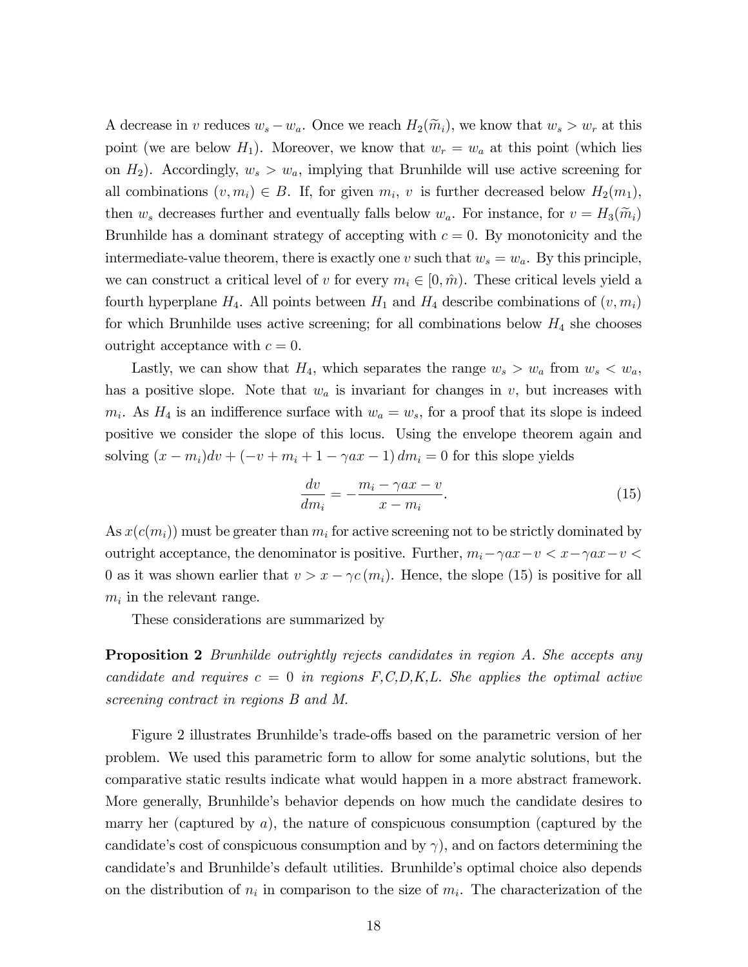A decrease in v reduces  $w_s - w_a$ . Once we reach  $H_2(\widetilde{m}_i)$ , we know that  $w_s > w_r$  at this point (we are below  $H_1$ ). Moreover, we know that  $w_r = w_a$  at this point (which lies on  $H_2$ ). Accordingly,  $w_s > w_a$ , implying that Brunhilde will use active screening for all combinations  $(v, m_i) \in B$ . If, for given  $m_i$ , v is further decreased below  $H_2(m_1)$ , then  $w_s$  decreases further and eventually falls below  $w_a$ . For instance, for  $v = H_3(\tilde{m}_i)$ Brunhilde has a dominant strategy of accepting with  $c = 0$ . By monotonicity and the intermediate-value theorem, there is exactly one v such that  $w_s = w_a$ . By this principle, we can construct a critical level of v for every  $m_i \in [0, \hat{m})$ . These critical levels yield a fourth hyperplane  $H_4$ . All points between  $H_1$  and  $H_4$  describe combinations of  $(v, m_i)$ for which Brunhilde uses active screening; for all combinations below  $H_4$  she chooses outright acceptance with  $c = 0$ .

Lastly, we can show that  $H_4$ , which separates the range  $w_s > w_a$  from  $w_s < w_a$ , has a positive slope. Note that  $w_a$  is invariant for changes in  $v$ , but increases with  $m_i$ . As  $H_4$  is an indifference surface with  $w_a = w_s$ , for a proof that its slope is indeed positive we consider the slope of this locus. Using the envelope theorem again and solving  $(x - m_i)dv + (-v + m_i + 1 - \gamma ax - 1)dm_i = 0$  for this slope yields

$$
\frac{dv}{dm_i} = -\frac{m_i - \gamma ax - v}{x - m_i}.\tag{15}
$$

As  $x(c(m_i))$  must be greater than  $m_i$  for active screening not to be strictly dominated by outright acceptance, the denominator is positive. Further,  $m_i - \gamma a x - v < x - \gamma a x - v <$ 0 as it was shown earlier that  $v > x - \gamma c(m_i)$ . Hence, the slope (15) is positive for all  $m_i$  in the relevant range.

These considerations are summarized by

**Proposition 2** Brunhilde outrightly rejects candidates in region A. She accepts any candidate and requires  $c = 0$  in regions  $F, C, D, K, L$ . She applies the optimal active screening contract in regions B and M.

Figure 2 illustrates Brunhilde's trade-offs based on the parametric version of her problem. We used this parametric form to allow for some analytic solutions, but the comparative static results indicate what would happen in a more abstract framework. More generally, Brunhilde's behavior depends on how much the candidate desires to marry her (captured by  $a$ ), the nature of conspicuous consumption (captured by the candidate's cost of conspicuous consumption and by  $\gamma$ , and on factors determining the candidateís and Brunhildeís default utilities. Brunhildeís optimal choice also depends on the distribution of  $n_i$  in comparison to the size of  $m_i$ . The characterization of the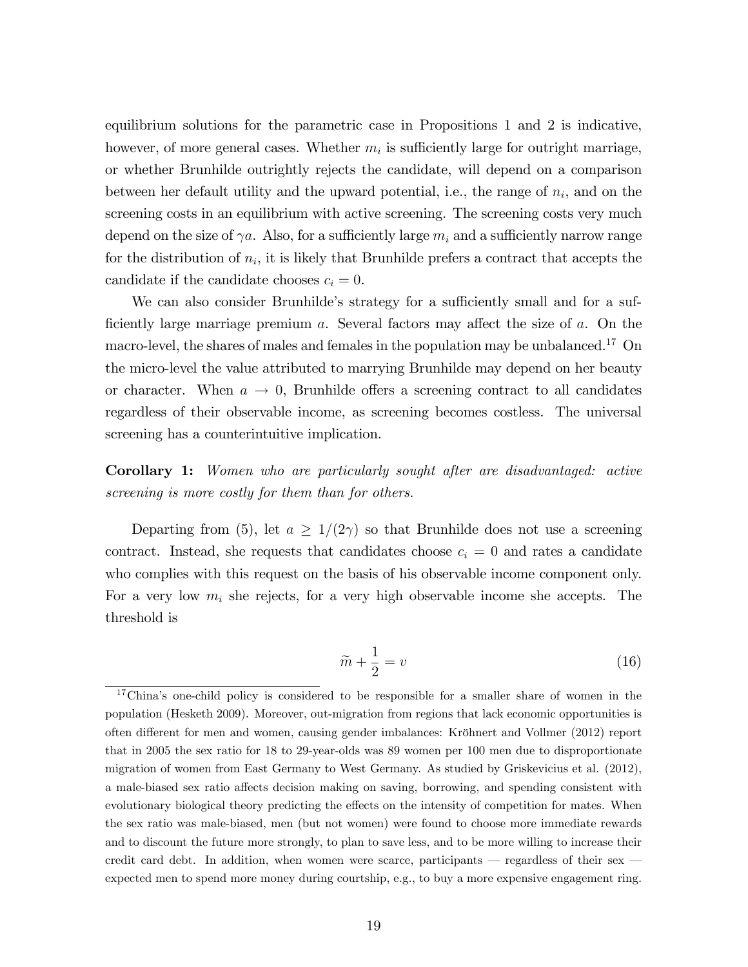equilibrium solutions for the parametric case in Propositions 1 and 2 is indicative, however, of more general cases. Whether  $m_i$  is sufficiently large for outright marriage, or whether Brunhilde outrightly rejects the candidate, will depend on a comparison between her default utility and the upward potential, i.e., the range of  $n_i$ , and on the screening costs in an equilibrium with active screening. The screening costs very much depend on the size of  $\gamma a$ . Also, for a sufficiently large  $m_i$  and a sufficiently narrow range for the distribution of  $n_i$ , it is likely that Brunhilde prefers a contract that accepts the candidate if the candidate chooses  $c_i = 0$ .

We can also consider Brunhilde's strategy for a sufficiently small and for a sufficiently large marriage premium  $a$ . Several factors may affect the size of  $a$ . On the macro-level, the shares of males and females in the population may be unbalanced.<sup>17</sup> On the micro-level the value attributed to marrying Brunhilde may depend on her beauty or character. When  $a \to 0$ , Brunhilde offers a screening contract to all candidates regardless of their observable income, as screening becomes costless. The universal screening has a counterintuitive implication.

Corollary 1: Women who are particularly sought after are disadvantaged: active screening is more costly for them than for others.

Departing from (5), let  $a \geq 1/(2\gamma)$  so that Brunhilde does not use a screening contract. Instead, she requests that candidates choose  $c_i = 0$  and rates a candidate who complies with this request on the basis of his observable income component only. For a very low  $m_i$  she rejects, for a very high observable income she accepts. The threshold is

$$
\widetilde{m} + \frac{1}{2} = v \tag{16}
$$

 $17$ China's one-child policy is considered to be responsible for a smaller share of women in the population (Hesketh 2009). Moreover, out-migration from regions that lack economic opportunities is often different for men and women, causing gender imbalances: Kröhnert and Vollmer (2012) report that in 2005 the sex ratio for 18 to 29-year-olds was 89 women per 100 men due to disproportionate migration of women from East Germany to West Germany. As studied by Griskevicius et al. (2012), a male-biased sex ratio affects decision making on saving, borrowing, and spending consistent with evolutionary biological theory predicting the effects on the intensity of competition for mates. When the sex ratio was male-biased, men (but not women) were found to choose more immediate rewards and to discount the future more strongly, to plan to save less, and to be more willing to increase their credit card debt. In addition, when women were scarce, participants  $-$  regardless of their sex  $$ expected men to spend more money during courtship, e.g., to buy a more expensive engagement ring.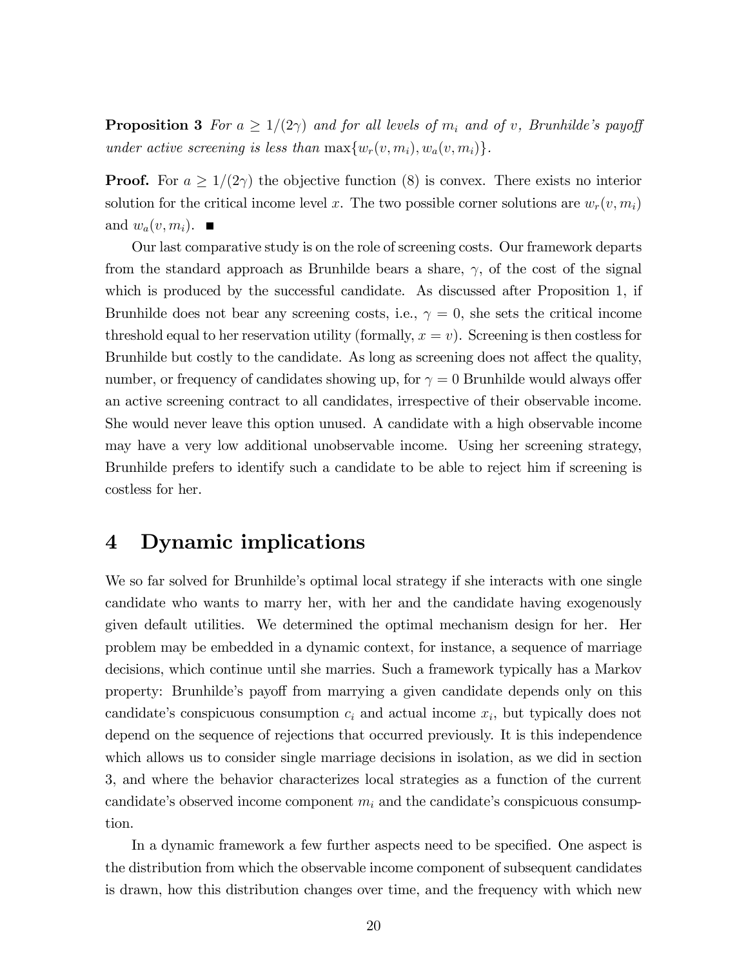**Proposition 3** For  $a \geq 1/(2\gamma)$  and for all levels of  $m_i$  and of v, Brunhilde's payoff under active screening is less than  $\max\{w_r(v, m_i), w_a(v, m_i)\}.$ 

**Proof.** For  $a \geq 1/(2\gamma)$  the objective function (8) is convex. There exists no interior solution for the critical income level x. The two possible corner solutions are  $w_r(v, m_i)$ and  $w_a(v, m_i)$ .

Our last comparative study is on the role of screening costs. Our framework departs from the standard approach as Brunhilde bears a share,  $\gamma$ , of the cost of the signal which is produced by the successful candidate. As discussed after Proposition 1, if Brunhilde does not bear any screening costs, i.e.,  $\gamma = 0$ , she sets the critical income threshold equal to her reservation utility (formally,  $x = v$ ). Screening is then costless for Brunhilde but costly to the candidate. As long as screening does not affect the quality, number, or frequency of candidates showing up, for  $\gamma = 0$  Brunhilde would always offer an active screening contract to all candidates, irrespective of their observable income. She would never leave this option unused. A candidate with a high observable income may have a very low additional unobservable income. Using her screening strategy, Brunhilde prefers to identify such a candidate to be able to reject him if screening is costless for her.

## 4 Dynamic implications

We so far solved for Brunhilde's optimal local strategy if she interacts with one single candidate who wants to marry her, with her and the candidate having exogenously given default utilities. We determined the optimal mechanism design for her. Her problem may be embedded in a dynamic context, for instance, a sequence of marriage decisions, which continue until she marries. Such a framework typically has a Markov property: Brunhilde's payoff from marrying a given candidate depends only on this candidate's conspicuous consumption  $c_i$  and actual income  $x_i$ , but typically does not depend on the sequence of rejections that occurred previously. It is this independence which allows us to consider single marriage decisions in isolation, as we did in section 3, and where the behavior characterizes local strategies as a function of the current candidate's observed income component  $m_i$  and the candidate's conspicuous consumption.

In a dynamic framework a few further aspects need to be specified. One aspect is the distribution from which the observable income component of subsequent candidates is drawn, how this distribution changes over time, and the frequency with which new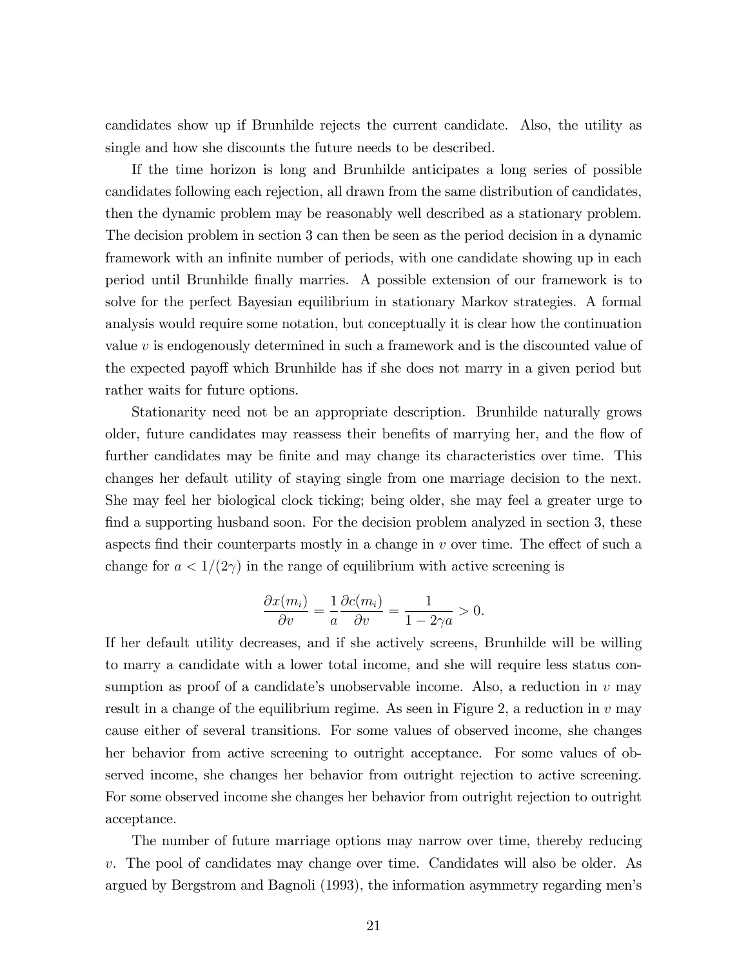candidates show up if Brunhilde rejects the current candidate. Also, the utility as single and how she discounts the future needs to be described.

If the time horizon is long and Brunhilde anticipates a long series of possible candidates following each rejection, all drawn from the same distribution of candidates, then the dynamic problem may be reasonably well described as a stationary problem. The decision problem in section 3 can then be seen as the period decision in a dynamic framework with an infinite number of periods, with one candidate showing up in each period until Brunhilde Önally marries. A possible extension of our framework is to solve for the perfect Bayesian equilibrium in stationary Markov strategies. A formal analysis would require some notation, but conceptually it is clear how the continuation value v is endogenously determined in such a framework and is the discounted value of the expected payoff which Brunhilde has if she does not marry in a given period but rather waits for future options.

Stationarity need not be an appropriate description. Brunhilde naturally grows older, future candidates may reassess their benefits of marrying her, and the flow of further candidates may be finite and may change its characteristics over time. This changes her default utility of staying single from one marriage decision to the next. She may feel her biological clock ticking; being older, she may feel a greater urge to find a supporting husband soon. For the decision problem analyzed in section 3, these aspects find their counterparts mostly in a change in  $v$  over time. The effect of such a change for  $a < 1/(2\gamma)$  in the range of equilibrium with active screening is

$$
\frac{\partial x(m_i)}{\partial v} = \frac{1}{a} \frac{\partial c(m_i)}{\partial v} = \frac{1}{1 - 2\gamma a} > 0.
$$

If her default utility decreases, and if she actively screens, Brunhilde will be willing to marry a candidate with a lower total income, and she will require less status consumption as proof of a candidate's unobservable income. Also, a reduction in  $v$  may result in a change of the equilibrium regime. As seen in Figure 2, a reduction in  $v$  may cause either of several transitions. For some values of observed income, she changes her behavior from active screening to outright acceptance. For some values of observed income, she changes her behavior from outright rejection to active screening. For some observed income she changes her behavior from outright rejection to outright acceptance.

The number of future marriage options may narrow over time, thereby reducing v. The pool of candidates may change over time. Candidates will also be older. As argued by Bergstrom and Bagnoli (1993), the information asymmetry regarding menís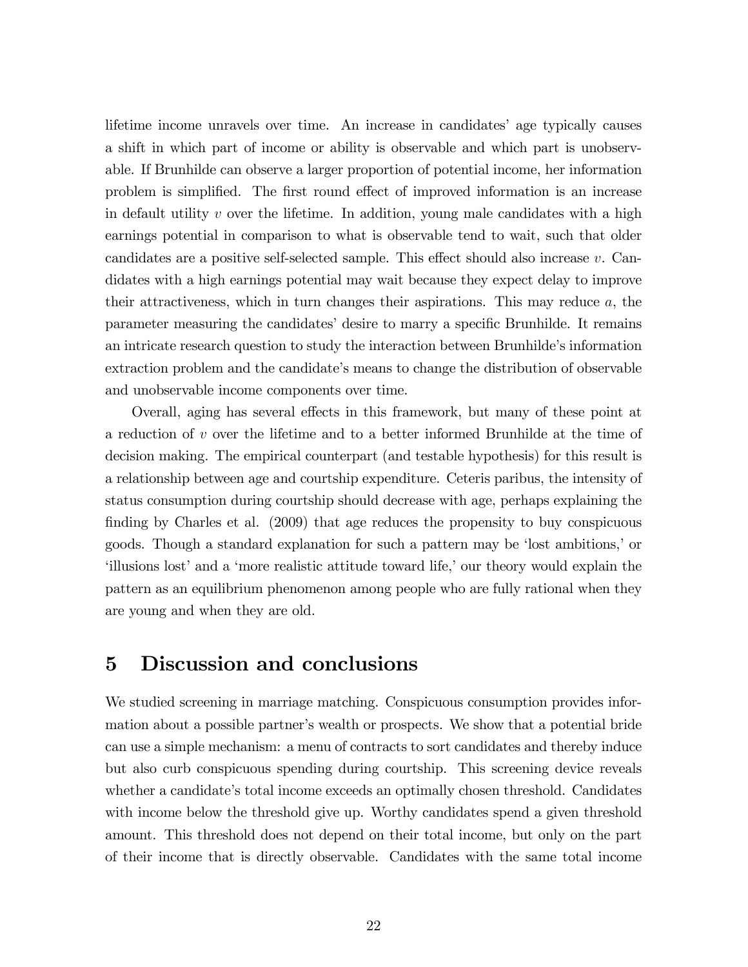lifetime income unravels over time. An increase in candidates' age typically causes a shift in which part of income or ability is observable and which part is unobservable. If Brunhilde can observe a larger proportion of potential income, her information problem is simplified. The first round effect of improved information is an increase in default utility  $v$  over the lifetime. In addition, young male candidates with a high earnings potential in comparison to what is observable tend to wait, such that older candidates are a positive self-selected sample. This effect should also increase  $v$ . Candidates with a high earnings potential may wait because they expect delay to improve their attractiveness, which in turn changes their aspirations. This may reduce  $a$ , the parameter measuring the candidates' desire to marry a specific Brunhilde. It remains an intricate research question to study the interaction between Brunhilde's information extraction problem and the candidate's means to change the distribution of observable and unobservable income components over time.

Overall, aging has several effects in this framework, but many of these point at a reduction of v over the lifetime and to a better informed Brunhilde at the time of decision making. The empirical counterpart (and testable hypothesis) for this result is a relationship between age and courtship expenditure. Ceteris paribus, the intensity of status consumption during courtship should decrease with age, perhaps explaining the finding by Charles et al. (2009) that age reduces the propensity to buy conspicuous goods. Though a standard explanation for such a pattern may be 'lost ambitions,' or ëillusions lostíand a ëmore realistic attitude toward life,íour theory would explain the pattern as an equilibrium phenomenon among people who are fully rational when they are young and when they are old.

## 5 Discussion and conclusions

We studied screening in marriage matching. Conspicuous consumption provides information about a possible partner's wealth or prospects. We show that a potential bride can use a simple mechanism: a menu of contracts to sort candidates and thereby induce but also curb conspicuous spending during courtship. This screening device reveals whether a candidate's total income exceeds an optimally chosen threshold. Candidates with income below the threshold give up. Worthy candidates spend a given threshold amount. This threshold does not depend on their total income, but only on the part of their income that is directly observable. Candidates with the same total income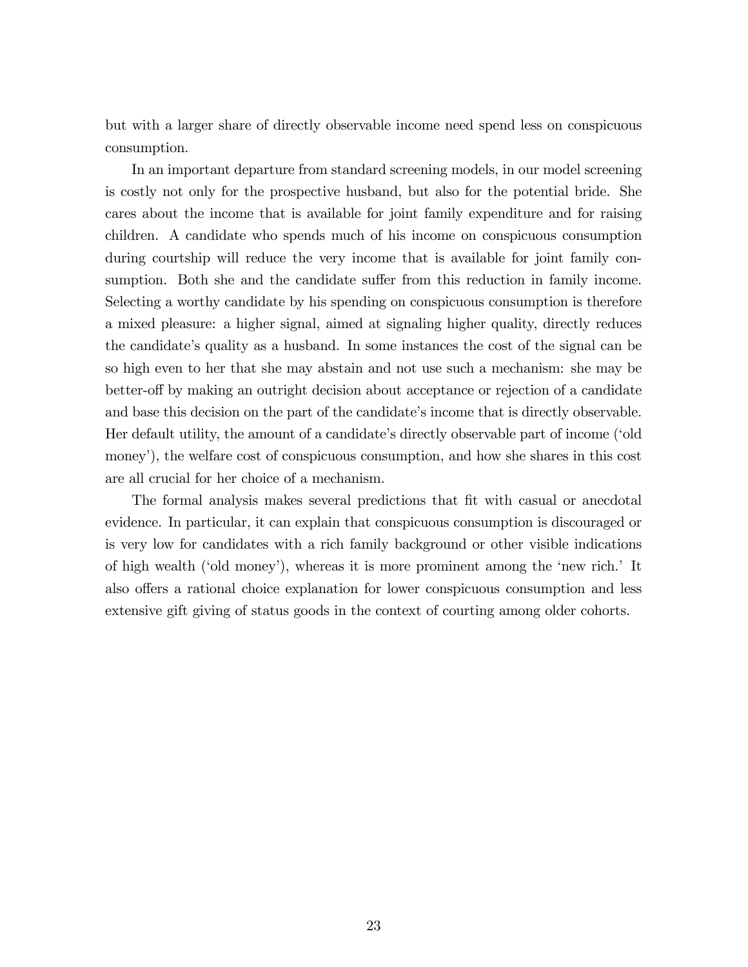but with a larger share of directly observable income need spend less on conspicuous consumption.

In an important departure from standard screening models, in our model screening is costly not only for the prospective husband, but also for the potential bride. She cares about the income that is available for joint family expenditure and for raising children. A candidate who spends much of his income on conspicuous consumption during courtship will reduce the very income that is available for joint family consumption. Both she and the candidate suffer from this reduction in family income. Selecting a worthy candidate by his spending on conspicuous consumption is therefore a mixed pleasure: a higher signal, aimed at signaling higher quality, directly reduces the candidate's quality as a husband. In some instances the cost of the signal can be so high even to her that she may abstain and not use such a mechanism: she may be better-off by making an outright decision about acceptance or rejection of a candidate and base this decision on the part of the candidate's income that is directly observable. Her default utility, the amount of a candidate's directly observable part of income ('old money'), the welfare cost of conspicuous consumption, and how she shares in this cost are all crucial for her choice of a mechanism.

The formal analysis makes several predictions that Öt with casual or anecdotal evidence. In particular, it can explain that conspicuous consumption is discouraged or is very low for candidates with a rich family background or other visible indications of high wealth ('old money'), whereas it is more prominent among the 'new rich.' It also offers a rational choice explanation for lower conspicuous consumption and less extensive gift giving of status goods in the context of courting among older cohorts.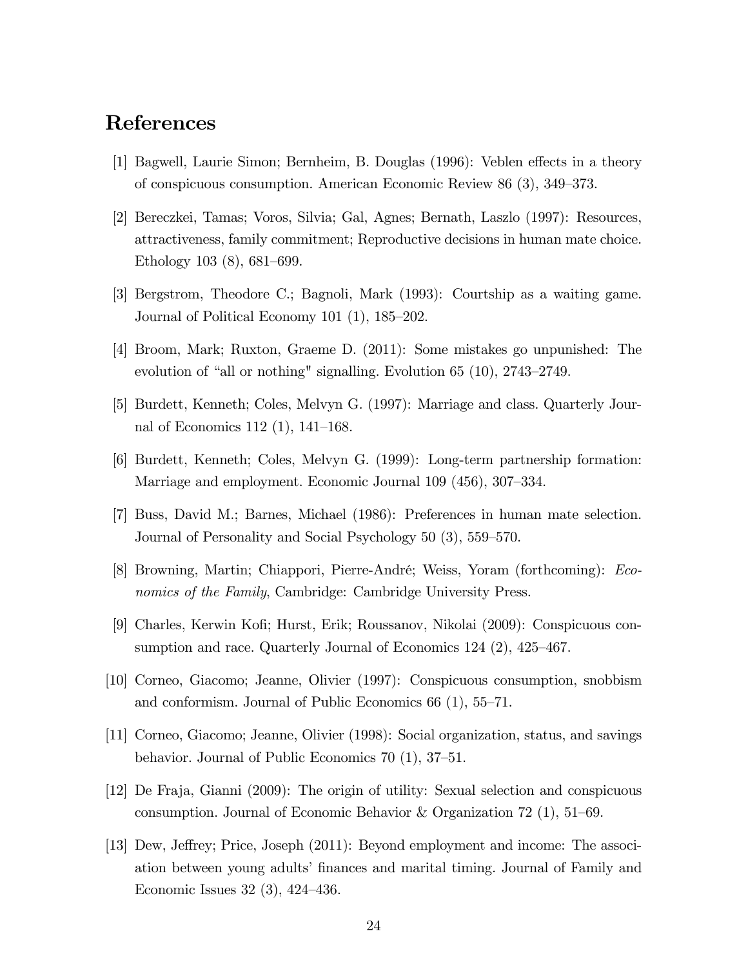# References

- [1] Bagwell, Laurie Simon; Bernheim, B. Douglas (1996): Veblen effects in a theory of conspicuous consumption. American Economic Review 86 (3), 349–373.
- [2] Bereczkei, Tamas; Voros, Silvia; Gal, Agnes; Bernath, Laszlo (1997): Resources, attractiveness, family commitment; Reproductive decisions in human mate choice. Ethology 103  $(8)$ , 681–699.
- [3] Bergstrom, Theodore C.; Bagnoli, Mark (1993): Courtship as a waiting game. Journal of Political Economy 101  $(1)$ , 185–202.
- [4] Broom, Mark; Ruxton, Graeme D. (2011): Some mistakes go unpunished: The evolution of "all or nothing" signalling. Evolution 65  $(10)$ , 2743-2749.
- [5] Burdett, Kenneth; Coles, Melvyn G. (1997): Marriage and class. Quarterly Journal of Economics 112 (1),  $141-168$ .
- [6] Burdett, Kenneth; Coles, Melvyn G. (1999): Long-term partnership formation: Marriage and employment. Economic Journal 109 (456), 307–334.
- [7] Buss, David M.; Barnes, Michael (1986): Preferences in human mate selection. Journal of Personality and Social Psychology 50 (3), 559–570.
- [8] Browning, Martin; Chiappori, Pierre-André; Weiss, Yoram (forthcoming): *Eco*nomics of the Family, Cambridge: Cambridge University Press.
- [9] Charles, Kerwin KoÖ; Hurst, Erik; Roussanov, Nikolai (2009): Conspicuous consumption and race. Quarterly Journal of Economics  $124$   $(2)$ ,  $425-467$ .
- [10] Corneo, Giacomo; Jeanne, Olivier (1997): Conspicuous consumption, snobbism and conformism. Journal of Public Economics  $66(1)$ ,  $55-71$ .
- [11] Corneo, Giacomo; Jeanne, Olivier (1998): Social organization, status, and savings behavior. Journal of Public Economics  $70(1)$ ,  $37-51$ .
- [12] De Fraja, Gianni (2009): The origin of utility: Sexual selection and conspicuous consumption. Journal of Economic Behavior & Organization 72 (1),  $51-69$ .
- [13] Dew, Jeffrey; Price, Joseph (2011): Beyond employment and income: The association between young adults' finances and marital timing. Journal of Family and Economic Issues  $32(3)$ ,  $424-436$ .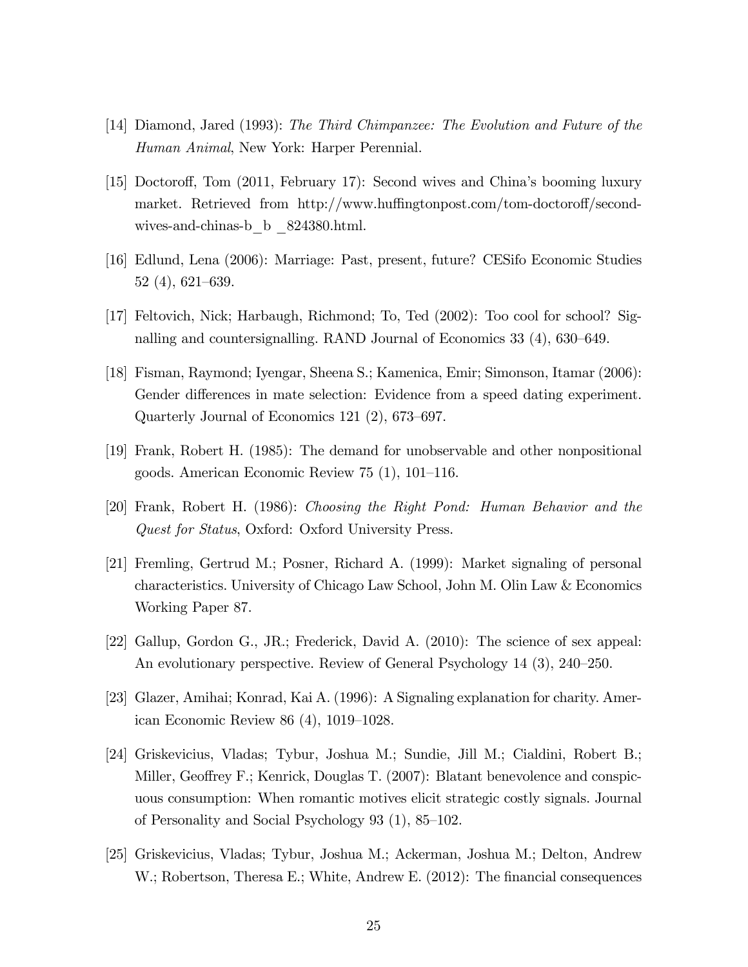- [14] Diamond, Jared (1993): The Third Chimpanzee: The Evolution and Future of the Human Animal, New York: Harper Perennial.
- [15] Doctoroff, Tom (2011, February 17): Second wives and China's booming luxury market. Retrieved from http://www.huffingtonpost.com/tom-doctoroff/secondwives-and-chinas-b\_b \_824380.html.
- [16] Edlund, Lena (2006): Marriage: Past, present, future? CESifo Economic Studies  $52(4), 621-639.$
- [17] Feltovich, Nick; Harbaugh, Richmond; To, Ted (2002): Too cool for school? Signalling and countersignalling. RAND Journal of Economics  $33(4)$ ,  $630-649$ .
- [18] Fisman, Raymond; Iyengar, Sheena S.; Kamenica, Emir; Simonson, Itamar (2006): Gender differences in mate selection: Evidence from a speed dating experiment. Quarterly Journal of Economics 121 $(2)$ , 673–697.
- [19] Frank, Robert H. (1985): The demand for unobservable and other nonpositional goods. American Economic Review  $75(1)$ ,  $101-116$ .
- [20] Frank, Robert H. (1986): Choosing the Right Pond: Human Behavior and the Quest for Status, Oxford: Oxford University Press.
- [21] Fremling, Gertrud M.; Posner, Richard A. (1999): Market signaling of personal characteristics. University of Chicago Law School, John M. Olin Law & Economics Working Paper 87.
- [22] Gallup, Gordon G., JR.; Frederick, David A. (2010): The science of sex appeal: An evolutionary perspective. Review of General Psychology  $14$   $(3)$ ,  $240-250$ .
- [23] Glazer, Amihai; Konrad, Kai A. (1996): A Signaling explanation for charity. American Economic Review 86  $(4)$ , 1019–1028.
- [24] Griskevicius, Vladas; Tybur, Joshua M.; Sundie, Jill M.; Cialdini, Robert B.; Miller, Geoffrey F.; Kenrick, Douglas T.  $(2007)$ : Blatant benevolence and conspicuous consumption: When romantic motives elicit strategic costly signals. Journal of Personality and Social Psychology  $93$  (1),  $85-102$ .
- [25] Griskevicius, Vladas; Tybur, Joshua M.; Ackerman, Joshua M.; Delton, Andrew W.; Robertson, Theresa E.; White, Andrew E. (2012): The financial consequences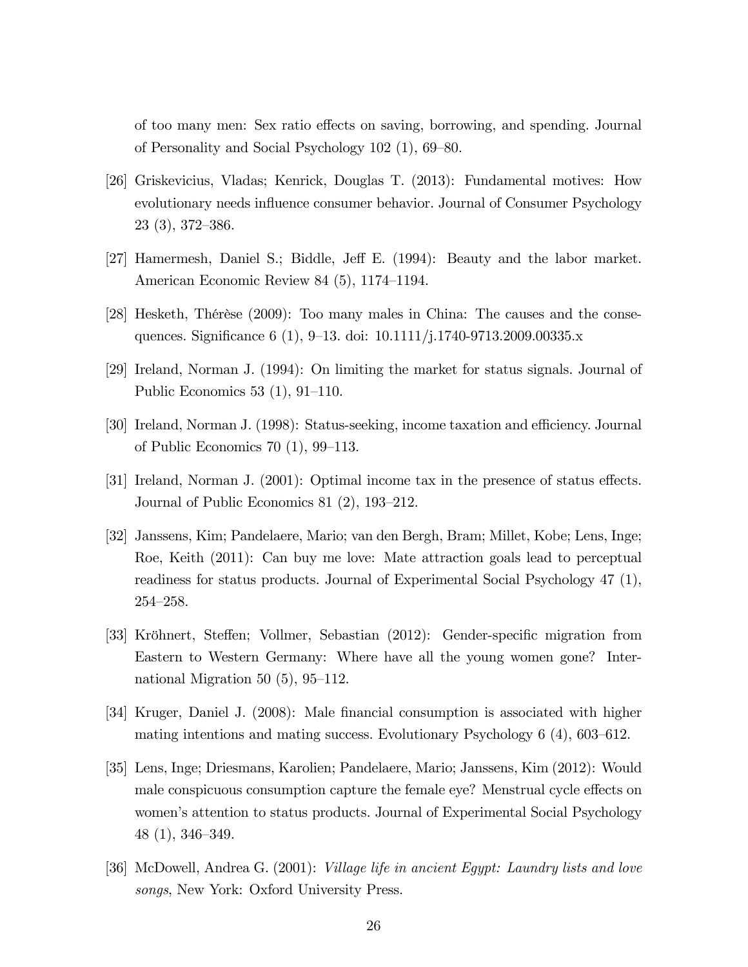of too many men: Sex ratio effects on saving, borrowing, and spending. Journal of Personality and Social Psychology  $102$  (1),  $69-80$ .

- [26] Griskevicius, Vladas; Kenrick, Douglas T. (2013): Fundamental motives: How evolutionary needs influence consumer behavior. Journal of Consumer Psychology  $23(3), 372-386.$
- [27] Hamermesh, Daniel S.; Biddle, Jeff E. (1994): Beauty and the labor market. American Economic Review 84  $(5)$ , 1174–1194.
- [28] Hesketh, Thérèse (2009): Too many males in China: The causes and the consequences. Significance 6 (1), 9–13. doi: 10.1111/j.1740-9713.2009.00335.x
- [29] Ireland, Norman J. (1994): On limiting the market for status signals. Journal of Public Economics  $53(1), 91-110$ .
- [30] Ireland, Norman J. (1998): Status-seeking, income taxation and efficiency. Journal of Public Economics 70  $(1)$ , 99–113.
- [31] Ireland, Norman J.  $(2001)$ : Optimal income tax in the presence of status effects. Journal of Public Economics 81 $(2)$ , 193–212.
- [32] Janssens, Kim; Pandelaere, Mario; van den Bergh, Bram; Millet, Kobe; Lens, Inge; Roe, Keith (2011): Can buy me love: Mate attraction goals lead to perceptual readiness for status products. Journal of Experimental Social Psychology 47 (1),  $254 - 258.$
- [33] Kröhnert, Steffen; Vollmer, Sebastian (2012): Gender-specific migration from Eastern to Western Germany: Where have all the young women gone? International Migration 50  $(5)$ , 95–112.
- [34] Kruger, Daniel J. (2008): Male financial consumption is associated with higher mating intentions and mating success. Evolutionary Psychology  $6$  (4),  $603-612$ .
- [35] Lens, Inge; Driesmans, Karolien; Pandelaere, Mario; Janssens, Kim (2012): Would male conspicuous consumption capture the female eye? Menstrual cycle effects on women's attention to status products. Journal of Experimental Social Psychology  $48(1), 346-349.$
- [36] McDowell, Andrea G. (2001): Village life in ancient Egypt: Laundry lists and love songs, New York: Oxford University Press.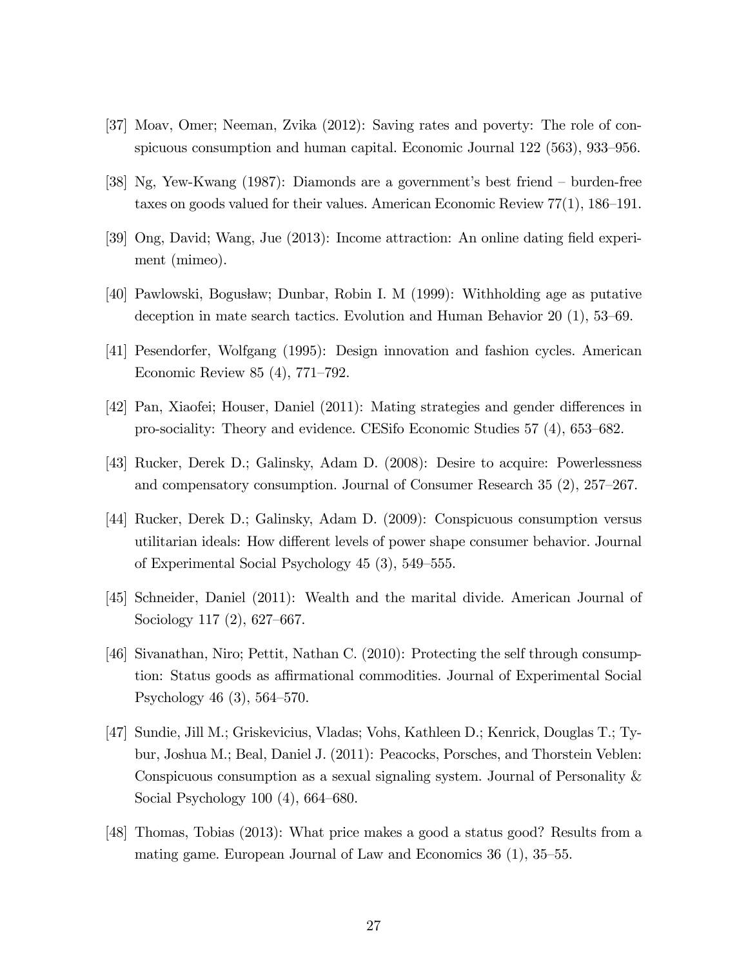- [37] Moav, Omer; Neeman, Zvika (2012): Saving rates and poverty: The role of conspicuous consumption and human capital. Economic Journal  $122$  (563), 933–956.
- [38] Ng, Yew-Kwang  $(1987)$ : Diamonds are a government's best friend burden-free taxes on goods valued for their values. American Economic Review  $77(1)$ , 186–191.
- [39] Ong, David; Wang, Jue (2013): Income attraction: An online dating Öeld experiment (mimeo).
- [40] Pawlowski, Bogusław; Dunbar, Robin I. M (1999): Withholding age as putative deception in mate search tactics. Evolution and Human Behavior  $20(1)$ , 53–69.
- [41] Pesendorfer, Wolfgang (1995): Design innovation and fashion cycles. American Economic Review  $85(4)$ , 771–792.
- [42] Pan, Xiaofei; Houser, Daniel (2011): Mating strategies and gender differences in pro-sociality: Theory and evidence. CESifo Economic Studies  $57(4)$ ,  $653-682$ .
- [43] Rucker, Derek D.; Galinsky, Adam D. (2008): Desire to acquire: Powerlessness and compensatory consumption. Journal of Consumer Research  $35(2)$ ,  $257-267$ .
- [44] Rucker, Derek D.; Galinsky, Adam D. (2009): Conspicuous consumption versus utilitarian ideals: How different levels of power shape consumer behavior. Journal of Experimental Social Psychology  $45$   $(3)$ ,  $549-555$ .
- [45] Schneider, Daniel (2011): Wealth and the marital divide. American Journal of Sociology 117 $(2)$ , 627–667.
- [46] Sivanathan, Niro; Pettit, Nathan C. (2010): Protecting the self through consumption: Status goods as affirmational commodities. Journal of Experimental Social Psychology 46  $(3)$ , 564–570.
- [47] Sundie, Jill M.; Griskevicius, Vladas; Vohs, Kathleen D.; Kenrick, Douglas T.; Tybur, Joshua M.; Beal, Daniel J. (2011): Peacocks, Porsches, and Thorstein Veblen: Conspicuous consumption as a sexual signaling system. Journal of Personality & Social Psychology  $100(4)$ , 664–680.
- [48] Thomas, Tobias (2013): What price makes a good a status good? Results from a mating game. European Journal of Law and Economics  $36(1)$ ,  $35-55$ .